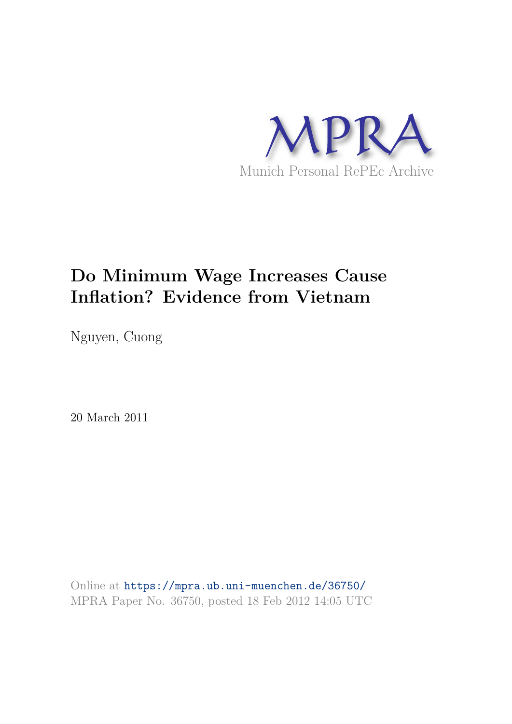

## **Do Minimum Wage Increases Cause Inflation? Evidence from Vietnam**

Nguyen, Cuong

20 March 2011

Online at https://mpra.ub.uni-muenchen.de/36750/ MPRA Paper No. 36750, posted 18 Feb 2012 14:05 UTC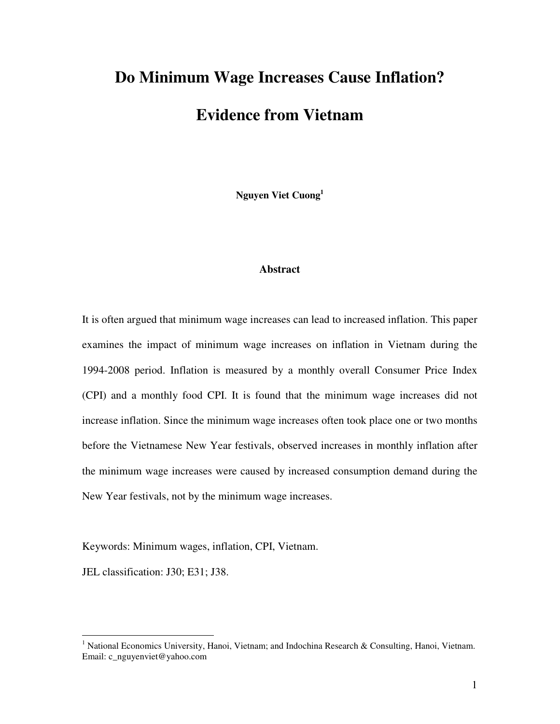# **Do Minimum Wage Increases Cause Inflation? Evidence from Vietnam**

**Nguyen Viet Cuong<sup>1</sup>**

#### **Abstract**

It is often argued that minimum wage increases can lead to increased inflation. This paper examines the impact of minimum wage increases on inflation in Vietnam during the 1994-2008 period. Inflation is measured by a monthly overall Consumer Price Index (CPI) and a monthly food CPI. It is found that the minimum wage increases did not increase inflation. Since the minimum wage increases often took place one or two months before the Vietnamese New Year festivals, observed increases in monthly inflation after the minimum wage increases were caused by increased consumption demand during the New Year festivals, not by the minimum wage increases.

Keywords: Minimum wages, inflation, CPI, Vietnam.

JEL classification: J30; E31; J38.

 $\overline{a}$ 

<sup>&</sup>lt;sup>1</sup> National Economics University, Hanoi, Vietnam; and Indochina Research & Consulting, Hanoi, Vietnam. Email: c\_nguyenviet@yahoo.com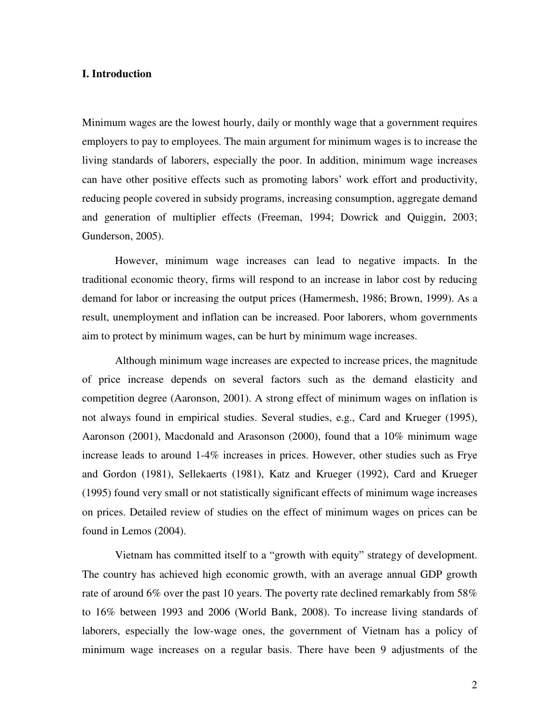#### **I. Introduction**

Minimum wages are the lowest hourly, daily or monthly wage that a government requires employers to pay to employees. The main argument for minimum wages is to increase the living standards of laborers, especially the poor. In addition, minimum wage increases can have other positive effects such as promoting labors' work effort and productivity, reducing people covered in subsidy programs, increasing consumption, aggregate demand and generation of multiplier effects (Freeman, 1994; Dowrick and Quiggin, 2003; Gunderson, 2005).

 However, minimum wage increases can lead to negative impacts. In the traditional economic theory, firms will respond to an increase in labor cost by reducing demand for labor or increasing the output prices (Hamermesh, 1986; Brown, 1999). As a result, unemployment and inflation can be increased. Poor laborers, whom governments aim to protect by minimum wages, can be hurt by minimum wage increases.

 Although minimum wage increases are expected to increase prices, the magnitude of price increase depends on several factors such as the demand elasticity and competition degree (Aaronson, 2001). A strong effect of minimum wages on inflation is not always found in empirical studies. Several studies, e.g., Card and Krueger (1995), Aaronson (2001), Macdonald and Arasonson (2000), found that a 10% minimum wage increase leads to around 1-4% increases in prices. However, other studies such as Frye and Gordon (1981), Sellekaerts (1981), Katz and Krueger (1992), Card and Krueger (1995) found very small or not statistically significant effects of minimum wage increases on prices. Detailed review of studies on the effect of minimum wages on prices can be found in Lemos (2004).

Vietnam has committed itself to a "growth with equity" strategy of development. The country has achieved high economic growth, with an average annual GDP growth rate of around 6% over the past 10 years. The poverty rate declined remarkably from 58% to 16% between 1993 and 2006 (World Bank, 2008). To increase living standards of laborers, especially the low-wage ones, the government of Vietnam has a policy of minimum wage increases on a regular basis. There have been 9 adjustments of the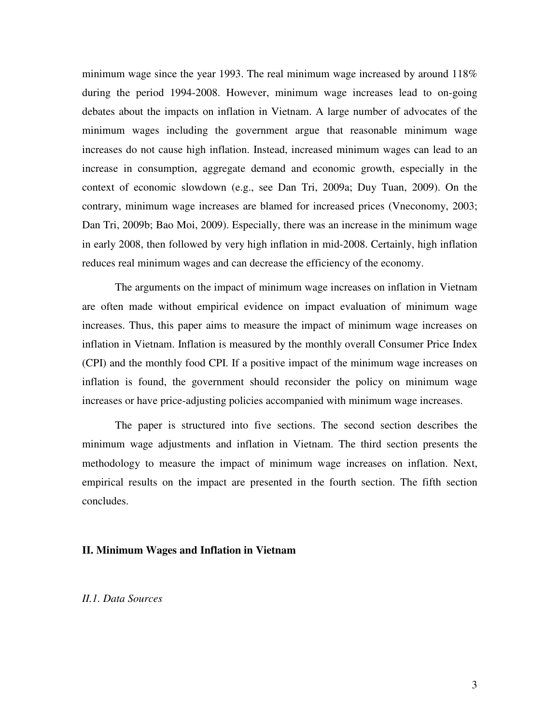minimum wage since the year 1993. The real minimum wage increased by around 118% during the period 1994-2008. However, minimum wage increases lead to on-going debates about the impacts on inflation in Vietnam. A large number of advocates of the minimum wages including the government argue that reasonable minimum wage increases do not cause high inflation. Instead, increased minimum wages can lead to an increase in consumption, aggregate demand and economic growth, especially in the context of economic slowdown (e.g., see Dan Tri, 2009a; Duy Tuan, 2009). On the contrary, minimum wage increases are blamed for increased prices (Vneconomy, 2003; Dan Tri, 2009b; Bao Moi, 2009). Especially, there was an increase in the minimum wage in early 2008, then followed by very high inflation in mid-2008. Certainly, high inflation reduces real minimum wages and can decrease the efficiency of the economy.

The arguments on the impact of minimum wage increases on inflation in Vietnam are often made without empirical evidence on impact evaluation of minimum wage increases. Thus, this paper aims to measure the impact of minimum wage increases on inflation in Vietnam. Inflation is measured by the monthly overall Consumer Price Index (CPI) and the monthly food CPI. If a positive impact of the minimum wage increases on inflation is found, the government should reconsider the policy on minimum wage increases or have price-adjusting policies accompanied with minimum wage increases.

The paper is structured into five sections. The second section describes the minimum wage adjustments and inflation in Vietnam. The third section presents the methodology to measure the impact of minimum wage increases on inflation. Next, empirical results on the impact are presented in the fourth section. The fifth section concludes.

#### **II. Minimum Wages and Inflation in Vietnam**

*II.1. Data Sources*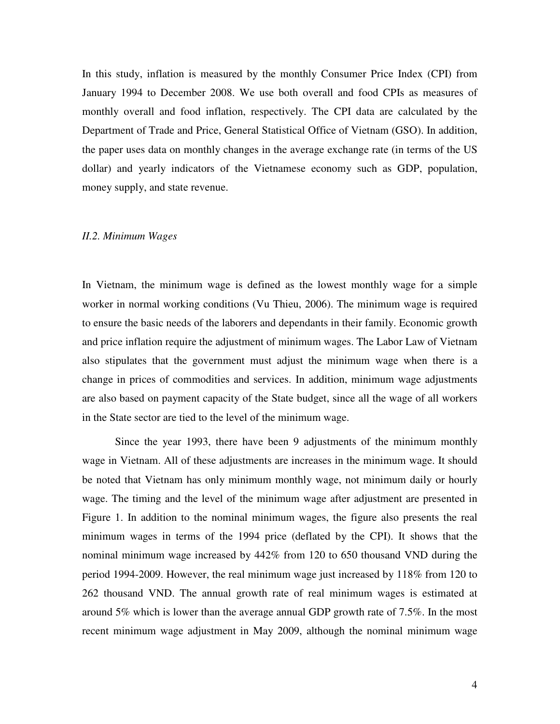In this study, inflation is measured by the monthly Consumer Price Index (CPI) from January 1994 to December 2008. We use both overall and food CPIs as measures of monthly overall and food inflation, respectively. The CPI data are calculated by the Department of Trade and Price, General Statistical Office of Vietnam (GSO). In addition, the paper uses data on monthly changes in the average exchange rate (in terms of the US dollar) and yearly indicators of the Vietnamese economy such as GDP, population, money supply, and state revenue.

#### *II.2. Minimum Wages*

In Vietnam, the minimum wage is defined as the lowest monthly wage for a simple worker in normal working conditions (Vu Thieu, 2006). The minimum wage is required to ensure the basic needs of the laborers and dependants in their family. Economic growth and price inflation require the adjustment of minimum wages. The Labor Law of Vietnam also stipulates that the government must adjust the minimum wage when there is a change in prices of commodities and services. In addition, minimum wage adjustments are also based on payment capacity of the State budget, since all the wage of all workers in the State sector are tied to the level of the minimum wage.

Since the year 1993, there have been 9 adjustments of the minimum monthly wage in Vietnam. All of these adjustments are increases in the minimum wage. It should be noted that Vietnam has only minimum monthly wage, not minimum daily or hourly wage. The timing and the level of the minimum wage after adjustment are presented in Figure 1. In addition to the nominal minimum wages, the figure also presents the real minimum wages in terms of the 1994 price (deflated by the CPI). It shows that the nominal minimum wage increased by 442% from 120 to 650 thousand VND during the period 1994-2009. However, the real minimum wage just increased by 118% from 120 to 262 thousand VND. The annual growth rate of real minimum wages is estimated at around 5% which is lower than the average annual GDP growth rate of 7.5%. In the most recent minimum wage adjustment in May 2009, although the nominal minimum wage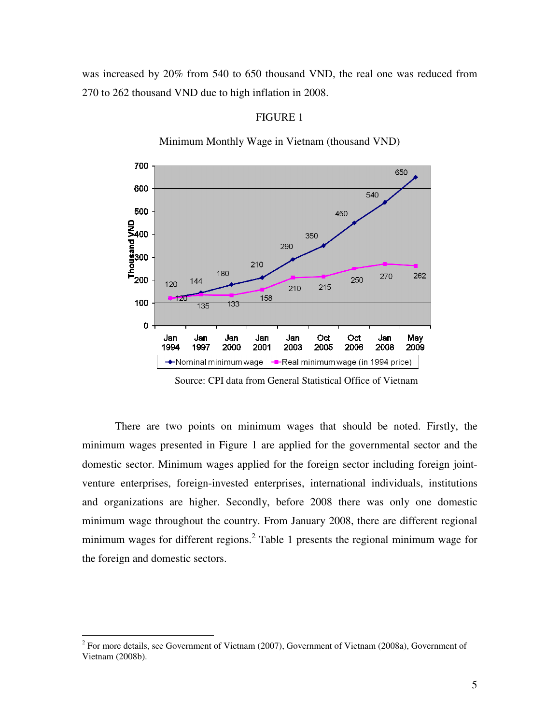was increased by 20% from 540 to 650 thousand VND, the real one was reduced from 270 to 262 thousand VND due to high inflation in 2008.



## FIGURE 1

Minimum Monthly Wage in Vietnam (thousand VND)

Source: CPI data from General Statistical Office of Vietnam

There are two points on minimum wages that should be noted. Firstly, the minimum wages presented in Figure 1 are applied for the governmental sector and the domestic sector. Minimum wages applied for the foreign sector including foreign jointventure enterprises, foreign-invested enterprises, international individuals, institutions and organizations are higher. Secondly, before 2008 there was only one domestic minimum wage throughout the country. From January 2008, there are different regional minimum wages for different regions.<sup>2</sup> Table 1 presents the regional minimum wage for the foreign and domestic sectors.

<sup>&</sup>lt;sup>2</sup> For more details, see Government of Vietnam (2007), Government of Vietnam (2008a), Government of Vietnam (2008b).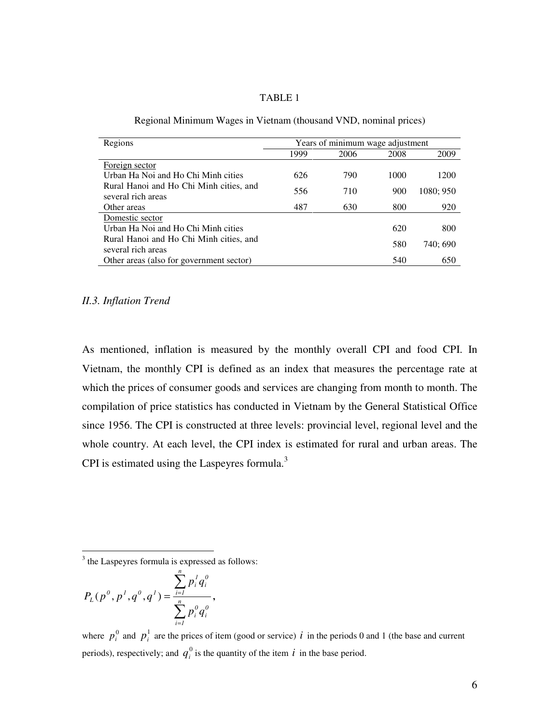#### TABLE 1

| Regions                                                       |      | Years of minimum wage adjustment |      |           |
|---------------------------------------------------------------|------|----------------------------------|------|-----------|
|                                                               | 1999 | 2006                             | 2008 | 2009      |
| Foreign sector                                                |      |                                  |      |           |
| Urban Ha Noi and Ho Chi Minh cities                           | 626  | 790                              | 1000 | 1200      |
| Rural Hanoi and Ho Chi Minh cities, and<br>several rich areas | 556  | 710                              | 900  | 1080; 950 |
| Other areas                                                   | 487  | 630                              | 800  | 920       |
| Domestic sector                                               |      |                                  |      |           |
| Urban Ha Noi and Ho Chi Minh cities                           |      |                                  | 620  | 800       |
| Rural Hanoi and Ho Chi Minh cities, and                       |      |                                  | 580  | 740; 690  |
| several rich areas                                            |      |                                  |      |           |
| Other areas (also for government sector)                      |      |                                  | 540  | 650       |

#### *II.3. Inflation Trend*

As mentioned, inflation is measured by the monthly overall CPI and food CPI. In Vietnam, the monthly CPI is defined as an index that measures the percentage rate at which the prices of consumer goods and services are changing from month to month. The compilation of price statistics has conducted in Vietnam by the General Statistical Office since 1956. The CPI is constructed at three levels: provincial level, regional level and the whole country. At each level, the CPI index is estimated for rural and urban areas. The CPI is estimated using the Laspeyres formula.<sup>3</sup>

$$
P_{L}(p^{0},p^{1},q^{0},q^{1})=\frac{\sum_{i=1}^{n}p_{i}^{1}q_{i}^{0}}{\sum_{i=1}^{n}p_{i}^{0}q_{i}^{0}},
$$

where  $p_i^0$  and  $p_i^1$  are the prices of item (good or service) *i* in the periods 0 and 1 (the base and current periods), respectively; and  $q_i^0$  is the quantity of the item *i* in the base period.

<sup>&</sup>lt;sup>3</sup> the Laspeyres formula is expressed as follows: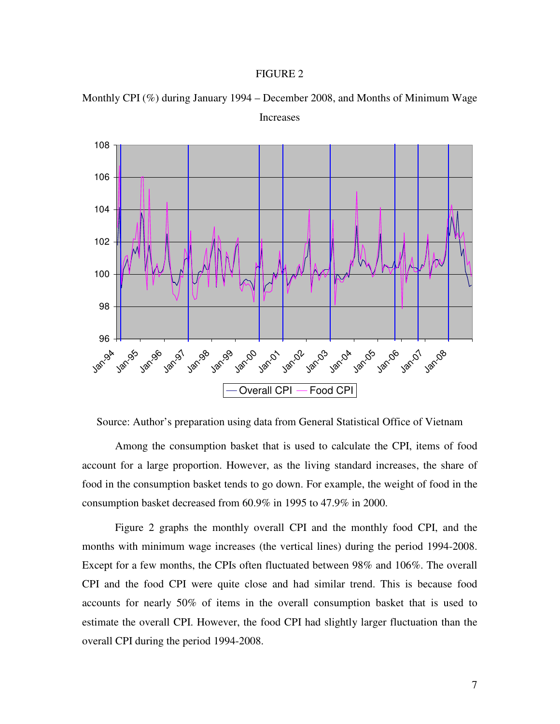#### FIGURE 2



Monthly CPI (%) during January 1994 – December 2008, and Months of Minimum Wage Increases

Source: Author's preparation using data from General Statistical Office of Vietnam

Among the consumption basket that is used to calculate the CPI, items of food account for a large proportion. However, as the living standard increases, the share of food in the consumption basket tends to go down. For example, the weight of food in the consumption basket decreased from 60.9% in 1995 to 47.9% in 2000.

Figure 2 graphs the monthly overall CPI and the monthly food CPI, and the months with minimum wage increases (the vertical lines) during the period 1994-2008. Except for a few months, the CPIs often fluctuated between 98% and 106%. The overall CPI and the food CPI were quite close and had similar trend. This is because food accounts for nearly 50% of items in the overall consumption basket that is used to estimate the overall CPI. However, the food CPI had slightly larger fluctuation than the overall CPI during the period 1994-2008.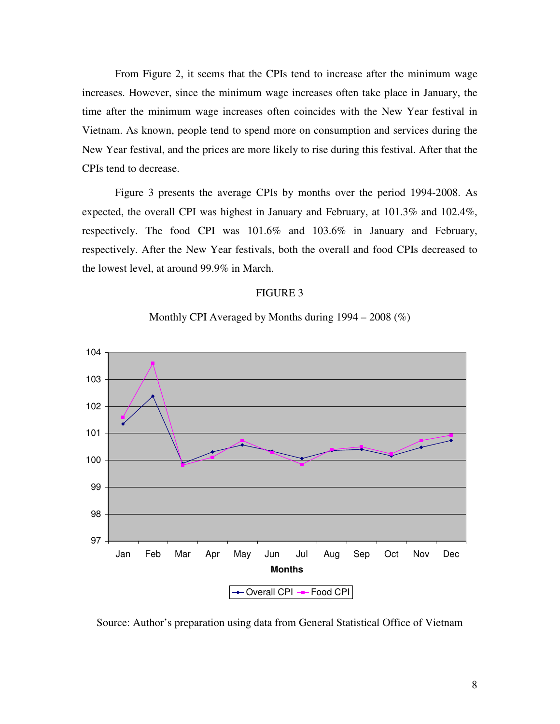From Figure 2, it seems that the CPIs tend to increase after the minimum wage increases. However, since the minimum wage increases often take place in January, the time after the minimum wage increases often coincides with the New Year festival in Vietnam. As known, people tend to spend more on consumption and services during the New Year festival, and the prices are more likely to rise during this festival. After that the CPIs tend to decrease.

Figure 3 presents the average CPIs by months over the period 1994-2008. As expected, the overall CPI was highest in January and February, at 101.3% and 102.4%, respectively. The food CPI was 101.6% and 103.6% in January and February, respectively. After the New Year festivals, both the overall and food CPIs decreased to the lowest level, at around 99.9% in March.

#### FIGURE 3



Monthly CPI Averaged by Months during  $1994 - 2008$  (%)

Source: Author's preparation using data from General Statistical Office of Vietnam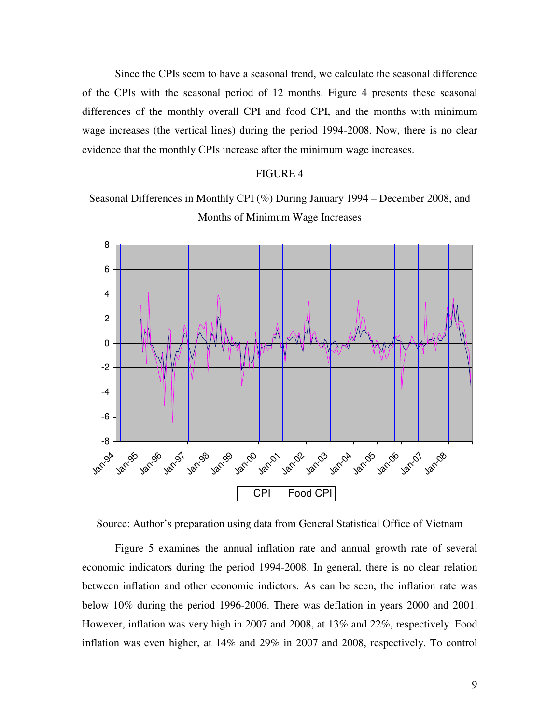Since the CPIs seem to have a seasonal trend, we calculate the seasonal difference of the CPIs with the seasonal period of 12 months. Figure 4 presents these seasonal differences of the monthly overall CPI and food CPI, and the months with minimum wage increases (the vertical lines) during the period 1994-2008. Now, there is no clear evidence that the monthly CPIs increase after the minimum wage increases.

#### FIGURE 4

Seasonal Differences in Monthly CPI (%) During January 1994 – December 2008, and Months of Minimum Wage Increases



Source: Author's preparation using data from General Statistical Office of Vietnam

Figure 5 examines the annual inflation rate and annual growth rate of several economic indicators during the period 1994-2008. In general, there is no clear relation between inflation and other economic indictors. As can be seen, the inflation rate was below 10% during the period 1996-2006. There was deflation in years 2000 and 2001. However, inflation was very high in 2007 and 2008, at 13% and 22%, respectively. Food inflation was even higher, at 14% and 29% in 2007 and 2008, respectively. To control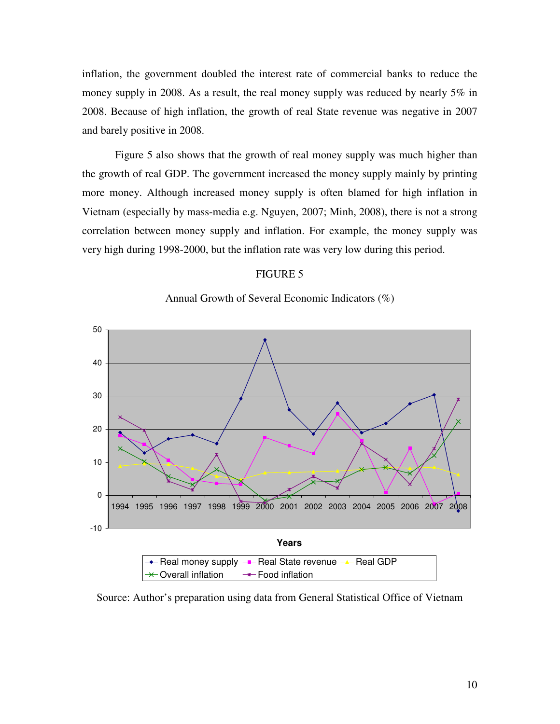inflation, the government doubled the interest rate of commercial banks to reduce the money supply in 2008. As a result, the real money supply was reduced by nearly 5% in 2008. Because of high inflation, the growth of real State revenue was negative in 2007 and barely positive in 2008.

Figure 5 also shows that the growth of real money supply was much higher than the growth of real GDP. The government increased the money supply mainly by printing more money. Although increased money supply is often blamed for high inflation in Vietnam (especially by mass-media e.g. Nguyen, 2007; Minh, 2008), there is not a strong correlation between money supply and inflation. For example, the money supply was very high during 1998-2000, but the inflation rate was very low during this period.

#### FIGURE 5



Annual Growth of Several Economic Indicators (%)

Source: Author's preparation using data from General Statistical Office of Vietnam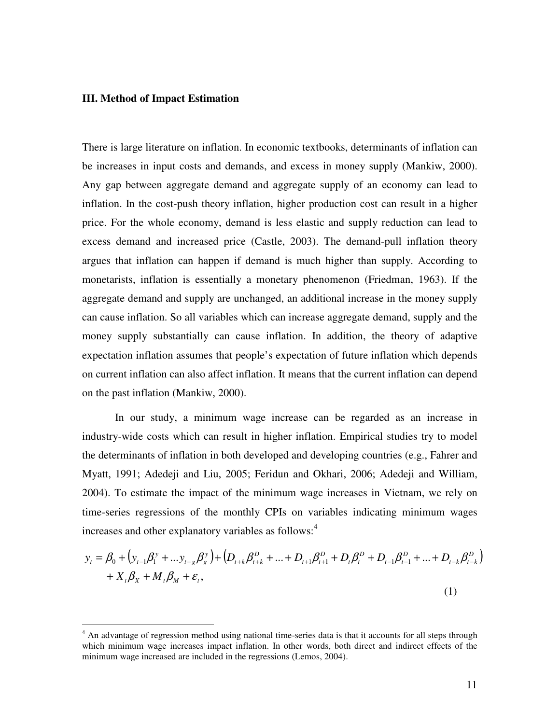#### **III. Method of Impact Estimation**

 $\overline{a}$ 

There is large literature on inflation. In economic textbooks, determinants of inflation can be increases in input costs and demands, and excess in money supply (Mankiw, 2000). Any gap between aggregate demand and aggregate supply of an economy can lead to inflation. In the cost-push theory inflation, higher production cost can result in a higher price. For the whole economy, demand is less elastic and supply reduction can lead to excess demand and increased price (Castle, 2003). The demand-pull inflation theory argues that inflation can happen if demand is much higher than supply. According to monetarists, inflation is essentially a monetary phenomenon (Friedman, 1963). If the aggregate demand and supply are unchanged, an additional increase in the money supply can cause inflation. So all variables which can increase aggregate demand, supply and the money supply substantially can cause inflation. In addition, the theory of adaptive expectation inflation assumes that people's expectation of future inflation which depends on current inflation can also affect inflation. It means that the current inflation can depend on the past inflation (Mankiw, 2000).

In our study, a minimum wage increase can be regarded as an increase in industry-wide costs which can result in higher inflation. Empirical studies try to model the determinants of inflation in both developed and developing countries (e.g., Fahrer and Myatt, 1991; Adedeji and Liu, 2005; Feridun and Okhari, 2006; Adedeji and William, 2004). To estimate the impact of the minimum wage increases in Vietnam, we rely on time-series regressions of the monthly CPIs on variables indicating minimum wages increases and other explanatory variables as follows: 4

$$
y_{t} = \beta_{0} + (y_{t-1}\beta_{1}^{y} + ... y_{t-g}\beta_{g}^{y}) + (D_{t+k}\beta_{t+k}^{D} + ... + D_{t+1}\beta_{t+1}^{D} + D_{t}\beta_{t}^{D} + D_{t-1}\beta_{t-1}^{D} + ... + D_{t-k}\beta_{t-k}^{D})
$$
  
+  $X_{t}\beta_{X} + M_{t}\beta_{M} + \varepsilon_{t}$ , (1)

<sup>&</sup>lt;sup>4</sup> An advantage of regression method using national time-series data is that it accounts for all steps through which minimum wage increases impact inflation. In other words, both direct and indirect effects of the minimum wage increased are included in the regressions (Lemos, 2004).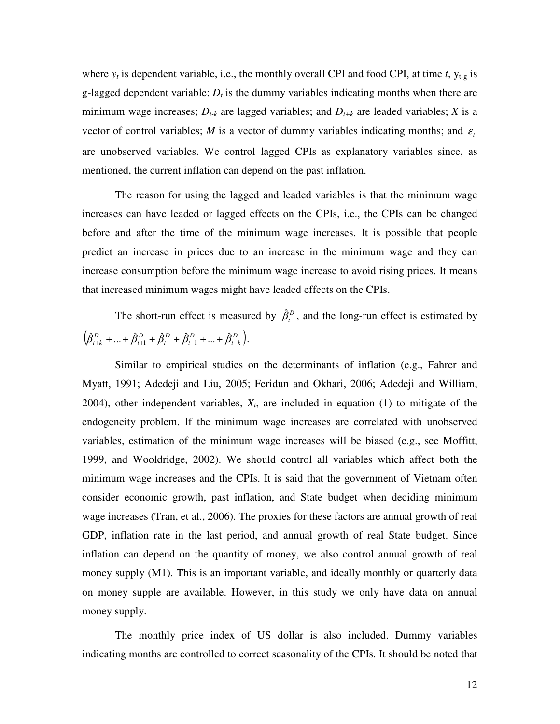where  $y_t$  is dependent variable, i.e., the monthly overall CPI and food CPI, at time  $t$ ,  $y_{t-g}$  is g-lagged dependent variable;  $D_t$  is the dummy variables indicating months when there are minimum wage increases;  $D_{t-k}$  are lagged variables; and  $D_{t+k}$  are leaded variables; *X* is a vector of control variables; *M* is a vector of dummy variables indicating months; and  $\varepsilon$ are unobserved variables. We control lagged CPIs as explanatory variables since, as mentioned, the current inflation can depend on the past inflation.

The reason for using the lagged and leaded variables is that the minimum wage increases can have leaded or lagged effects on the CPIs, i.e., the CPIs can be changed before and after the time of the minimum wage increases. It is possible that people predict an increase in prices due to an increase in the minimum wage and they can increase consumption before the minimum wage increase to avoid rising prices. It means that increased minimum wages might have leaded effects on the CPIs.

The short-run effect is measured by  $\hat{\beta}_t^D$ , and the long-run effect is estimated by  $(\hat{\beta}_{t+k}^D + ... + \hat{\beta}_{t+1}^D + \hat{\beta}_{t}^D + \hat{\beta}_{t-1}^D + ... + \hat{\beta}_{t-k}^D).$ 

Similar to empirical studies on the determinants of inflation (e.g., Fahrer and Myatt, 1991; Adedeji and Liu, 2005; Feridun and Okhari, 2006; Adedeji and William, 2004), other independent variables,  $X_t$ , are included in equation (1) to mitigate of the endogeneity problem. If the minimum wage increases are correlated with unobserved variables, estimation of the minimum wage increases will be biased (e.g., see Moffitt, 1999, and Wooldridge, 2002). We should control all variables which affect both the minimum wage increases and the CPIs. It is said that the government of Vietnam often consider economic growth, past inflation, and State budget when deciding minimum wage increases (Tran, et al., 2006). The proxies for these factors are annual growth of real GDP, inflation rate in the last period, and annual growth of real State budget. Since inflation can depend on the quantity of money, we also control annual growth of real money supply (M1). This is an important variable, and ideally monthly or quarterly data on money supple are available. However, in this study we only have data on annual money supply.

The monthly price index of US dollar is also included. Dummy variables indicating months are controlled to correct seasonality of the CPIs. It should be noted that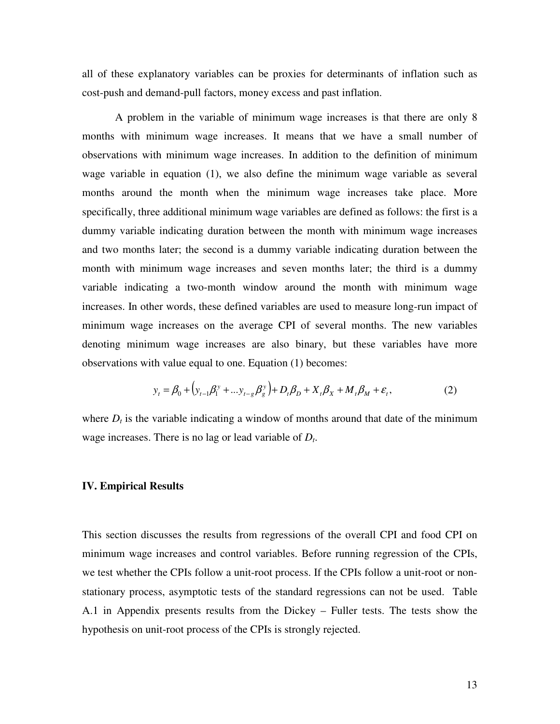all of these explanatory variables can be proxies for determinants of inflation such as cost-push and demand-pull factors, money excess and past inflation.

A problem in the variable of minimum wage increases is that there are only 8 months with minimum wage increases. It means that we have a small number of observations with minimum wage increases. In addition to the definition of minimum wage variable in equation (1), we also define the minimum wage variable as several months around the month when the minimum wage increases take place. More specifically, three additional minimum wage variables are defined as follows: the first is a dummy variable indicating duration between the month with minimum wage increases and two months later; the second is a dummy variable indicating duration between the month with minimum wage increases and seven months later; the third is a dummy variable indicating a two-month window around the month with minimum wage increases. In other words, these defined variables are used to measure long-run impact of minimum wage increases on the average CPI of several months. The new variables denoting minimum wage increases are also binary, but these variables have more observations with value equal to one. Equation (1) becomes:

$$
y_t = \beta_0 + (y_{t-1}\beta_1^y + ... y_{t-g}\beta_g^y) + D_t\beta_0 + X_t\beta_x + M_t\beta_M + \varepsilon_t,
$$
 (2)

where  $D_t$  is the variable indicating a window of months around that date of the minimum wage increases. There is no lag or lead variable of *D<sup>t</sup>* .

#### **IV. Empirical Results**

This section discusses the results from regressions of the overall CPI and food CPI on minimum wage increases and control variables. Before running regression of the CPIs, we test whether the CPIs follow a unit-root process. If the CPIs follow a unit-root or nonstationary process, asymptotic tests of the standard regressions can not be used. Table A.1 in Appendix presents results from the Dickey – Fuller tests. The tests show the hypothesis on unit-root process of the CPIs is strongly rejected.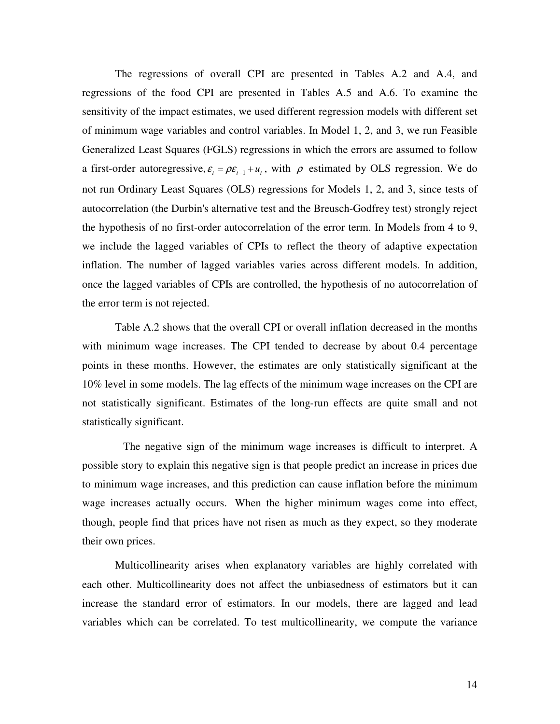The regressions of overall CPI are presented in Tables A.2 and A.4, and regressions of the food CPI are presented in Tables A.5 and A.6. To examine the sensitivity of the impact estimates, we used different regression models with different set of minimum wage variables and control variables. In Model 1, 2, and 3, we run Feasible Generalized Least Squares (FGLS) regressions in which the errors are assumed to follow a first-order autoregressive,  $\varepsilon_t = \rho \varepsilon_{t-1} + u_t$ , with  $\rho$  estimated by OLS regression. We do not run Ordinary Least Squares (OLS) regressions for Models 1, 2, and 3, since tests of autocorrelation (the Durbin's alternative test and the Breusch-Godfrey test) strongly reject the hypothesis of no first-order autocorrelation of the error term. In Models from 4 to 9, we include the lagged variables of CPIs to reflect the theory of adaptive expectation inflation. The number of lagged variables varies across different models. In addition, once the lagged variables of CPIs are controlled, the hypothesis of no autocorrelation of the error term is not rejected.

Table A.2 shows that the overall CPI or overall inflation decreased in the months with minimum wage increases. The CPI tended to decrease by about 0.4 percentage points in these months. However, the estimates are only statistically significant at the 10% level in some models. The lag effects of the minimum wage increases on the CPI are not statistically significant. Estimates of the long-run effects are quite small and not statistically significant.

 The negative sign of the minimum wage increases is difficult to interpret. A possible story to explain this negative sign is that people predict an increase in prices due to minimum wage increases, and this prediction can cause inflation before the minimum wage increases actually occurs. When the higher minimum wages come into effect, though, people find that prices have not risen as much as they expect, so they moderate their own prices.

Multicollinearity arises when explanatory variables are highly correlated with each other. Multicollinearity does not affect the unbiasedness of estimators but it can increase the standard error of estimators. In our models, there are lagged and lead variables which can be correlated. To test multicollinearity, we compute the variance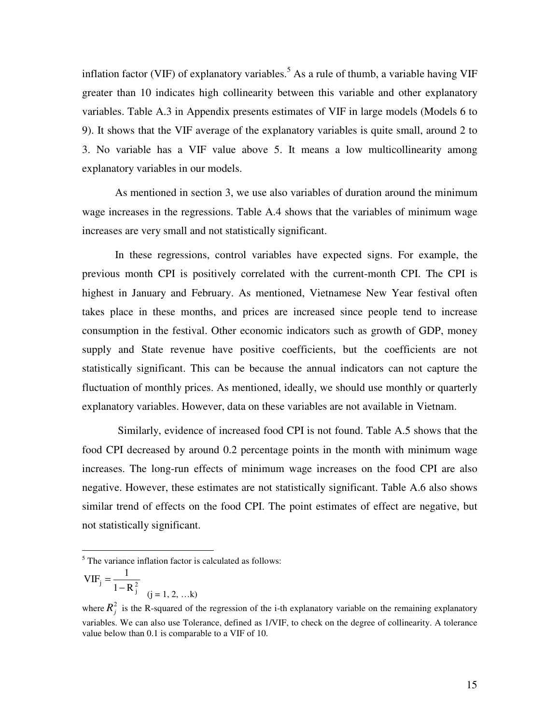inflation factor (VIF) of explanatory variables.<sup>5</sup> As a rule of thumb, a variable having VIF greater than 10 indicates high collinearity between this variable and other explanatory variables. Table A.3 in Appendix presents estimates of VIF in large models (Models 6 to 9). It shows that the VIF average of the explanatory variables is quite small, around 2 to 3. No variable has a VIF value above 5. It means a low multicollinearity among explanatory variables in our models.

As mentioned in section 3, we use also variables of duration around the minimum wage increases in the regressions. Table A.4 shows that the variables of minimum wage increases are very small and not statistically significant.

In these regressions, control variables have expected signs. For example, the previous month CPI is positively correlated with the current-month CPI. The CPI is highest in January and February. As mentioned, Vietnamese New Year festival often takes place in these months, and prices are increased since people tend to increase consumption in the festival. Other economic indicators such as growth of GDP, money supply and State revenue have positive coefficients, but the coefficients are not statistically significant. This can be because the annual indicators can not capture the fluctuation of monthly prices. As mentioned, ideally, we should use monthly or quarterly explanatory variables. However, data on these variables are not available in Vietnam.

 Similarly, evidence of increased food CPI is not found. Table A.5 shows that the food CPI decreased by around 0.2 percentage points in the month with minimum wage increases. The long-run effects of minimum wage increases on the food CPI are also negative. However, these estimates are not statistically significant. Table A.6 also shows similar trend of effects on the food CPI. The point estimates of effect are negative, but not statistically significant.

$$
VIFj = \frac{1}{1 - R_j^2}
$$
  
(j = 1, 2, ...k)

 $\overline{a}$ 

<sup>&</sup>lt;sup>5</sup> The variance inflation factor is calculated as follows:

where  $R_j^2$  is the R-squared of the regression of the i-th explanatory variable on the remaining explanatory variables. We can also use Tolerance, defined as 1/VIF, to check on the degree of collinearity. A tolerance value below than 0.1 is comparable to a VIF of 10.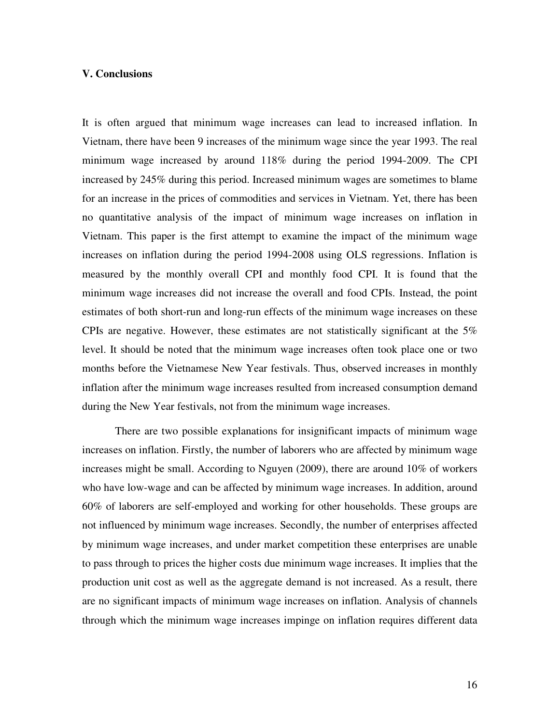#### **V. Conclusions**

It is often argued that minimum wage increases can lead to increased inflation. In Vietnam, there have been 9 increases of the minimum wage since the year 1993. The real minimum wage increased by around 118% during the period 1994-2009. The CPI increased by 245% during this period. Increased minimum wages are sometimes to blame for an increase in the prices of commodities and services in Vietnam. Yet, there has been no quantitative analysis of the impact of minimum wage increases on inflation in Vietnam. This paper is the first attempt to examine the impact of the minimum wage increases on inflation during the period 1994-2008 using OLS regressions. Inflation is measured by the monthly overall CPI and monthly food CPI. It is found that the minimum wage increases did not increase the overall and food CPIs. Instead, the point estimates of both short-run and long-run effects of the minimum wage increases on these CPIs are negative. However, these estimates are not statistically significant at the 5% level. It should be noted that the minimum wage increases often took place one or two months before the Vietnamese New Year festivals. Thus, observed increases in monthly inflation after the minimum wage increases resulted from increased consumption demand during the New Year festivals, not from the minimum wage increases.

 There are two possible explanations for insignificant impacts of minimum wage increases on inflation. Firstly, the number of laborers who are affected by minimum wage increases might be small. According to Nguyen (2009), there are around 10% of workers who have low-wage and can be affected by minimum wage increases. In addition, around 60% of laborers are self-employed and working for other households. These groups are not influenced by minimum wage increases. Secondly, the number of enterprises affected by minimum wage increases, and under market competition these enterprises are unable to pass through to prices the higher costs due minimum wage increases. It implies that the production unit cost as well as the aggregate demand is not increased. As a result, there are no significant impacts of minimum wage increases on inflation. Analysis of channels through which the minimum wage increases impinge on inflation requires different data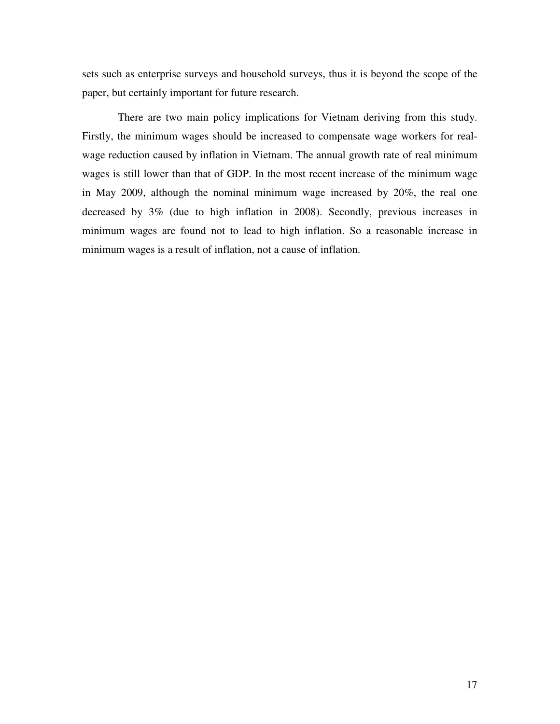sets such as enterprise surveys and household surveys, thus it is beyond the scope of the paper, but certainly important for future research.

 There are two main policy implications for Vietnam deriving from this study. Firstly, the minimum wages should be increased to compensate wage workers for realwage reduction caused by inflation in Vietnam. The annual growth rate of real minimum wages is still lower than that of GDP. In the most recent increase of the minimum wage in May 2009, although the nominal minimum wage increased by 20%, the real one decreased by 3% (due to high inflation in 2008). Secondly, previous increases in minimum wages are found not to lead to high inflation. So a reasonable increase in minimum wages is a result of inflation, not a cause of inflation.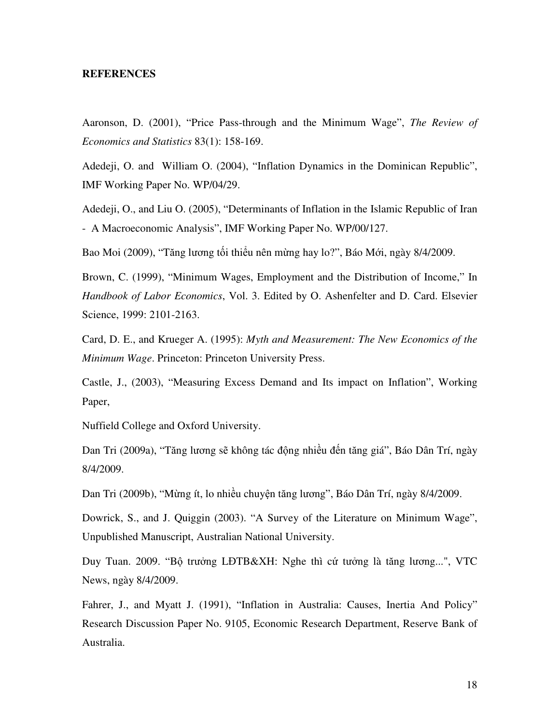#### **REFERENCES**

Aaronson, D. (2001), "Price Pass-through and the Minimum Wage", *The Review of Economics and Statistics* 83(1): 158-169.

Adedeji, O. and William O. (2004), "Inflation Dynamics in the Dominican Republic", IMF Working Paper No. WP/04/29.

Adedeji, O., and Liu O. (2005), "Determinants of Inflation in the Islamic Republic of Iran - A Macroeconomic Analysis", IMF Working Paper No. WP/00/127.

Bao Moi (2009), "Tăng lương tối thiểu nên mừng hay lo?", Báo Mới, ngày 8/4/2009.

Brown, C. (1999), "Minimum Wages, Employment and the Distribution of Income," In *Handbook of Labor Economics*, Vol. 3. Edited by O. Ashenfelter and D. Card. Elsevier Science, 1999: 2101-2163.

Card, D. E., and Krueger A. (1995): *Myth and Measurement: The New Economics of the Minimum Wage*. Princeton: Princeton University Press.

Castle, J., (2003), "Measuring Excess Demand and Its impact on Inflation", Working Paper,

Nuffield College and Oxford University.

Dan Tri (2009a), "Tăng lương sẽ không tác động nhiều đến tăng giá", Báo Dân Trí, ngày 8/4/2009.

Dan Tri (2009b), "Mừng ít, lo nhiều chuyện tăng lương", Báo Dân Trí, ngày 8/4/2009.

Dowrick, S., and J. Quiggin (2003). "A Survey of the Literature on Minimum Wage", Unpublished Manuscript, Australian National University.

Duy Tuan. 2009. "Bộ trưởng LĐTB&XH: Nghe thì cứ tưởng là tăng lương...", VTC News, ngày 8/4/2009.

Fahrer, J., and Myatt J. (1991), "Inflation in Australia: Causes, Inertia And Policy" Research Discussion Paper No. 9105, Economic Research Department, Reserve Bank of Australia.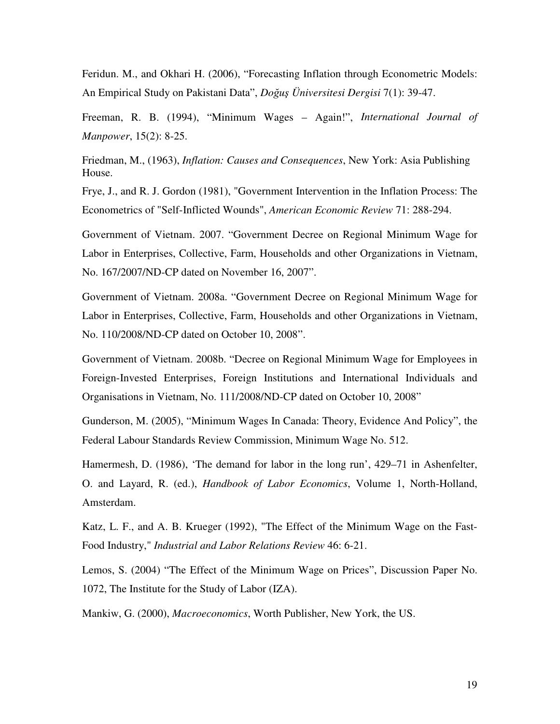Feridun. M., and Okhari H. (2006), "Forecasting Inflation through Econometric Models: An Empirical Study on Pakistani Data", *Doğuş Üniversitesi Dergisi* 7(1): 39-47.

Freeman, R. B. (1994), "Minimum Wages – Again!", *International Journal of Manpower*, 15(2): 8-25.

Friedman, M., (1963), *Inflation: Causes and Consequences*, New York: Asia Publishing House.

Frye, J., and R. J. Gordon (1981), "Government Intervention in the Inflation Process: The Econometrics of "Self-Inflicted Wounds", *American Economic Review* 71: 288-294.

Government of Vietnam. 2007. "Government Decree on Regional Minimum Wage for Labor in Enterprises, Collective, Farm, Households and other Organizations in Vietnam, No. 167/2007/ND-CP dated on November 16, 2007".

Government of Vietnam. 2008a. "Government Decree on Regional Minimum Wage for Labor in Enterprises, Collective, Farm, Households and other Organizations in Vietnam, No. 110/2008/ND-CP dated on October 10, 2008".

Government of Vietnam. 2008b. "Decree on Regional Minimum Wage for Employees in Foreign-Invested Enterprises, Foreign Institutions and International Individuals and Organisations in Vietnam, No. 111/2008/ND-CP dated on October 10, 2008"

Gunderson, M. (2005), "Minimum Wages In Canada: Theory, Evidence And Policy", the Federal Labour Standards Review Commission, Minimum Wage No. 512.

Hamermesh, D. (1986), 'The demand for labor in the long run', 429–71 in Ashenfelter, O. and Layard, R. (ed.), *Handbook of Labor Economics*, Volume 1, North-Holland, Amsterdam.

Katz, L. F., and A. B. Krueger (1992), "The Effect of the Minimum Wage on the Fast-Food Industry," *Industrial and Labor Relations Review* 46: 6-21.

Lemos, S. (2004) "The Effect of the Minimum Wage on Prices", Discussion Paper No. 1072, The Institute for the Study of Labor (IZA).

Mankiw, G. (2000), *Macroeconomics*, Worth Publisher, New York, the US.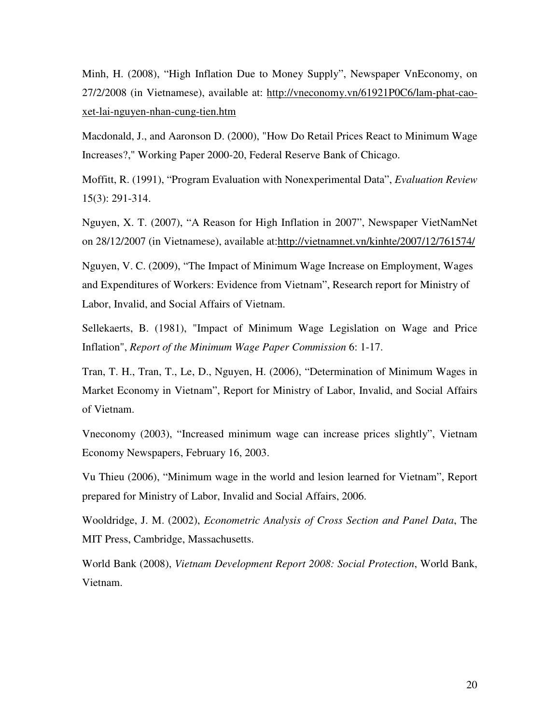Minh, H. (2008), "High Inflation Due to Money Supply", Newspaper VnEconomy, on 27/2/2008 (in Vietnamese), available at: http://vneconomy.vn/61921P0C6/lam-phat-caoxet-lai-nguyen-nhan-cung-tien.htm

Macdonald, J., and Aaronson D. (2000), "How Do Retail Prices React to Minimum Wage Increases?," Working Paper 2000-20, Federal Reserve Bank of Chicago.

Moffitt, R. (1991), "Program Evaluation with Nonexperimental Data", *Evaluation Review* 15(3): 291-314.

Nguyen, X. T. (2007), "A Reason for High Inflation in 2007", Newspaper VietNamNet on 28/12/2007 (in Vietnamese), available at:http://vietnamnet.vn/kinhte/2007/12/761574/

Nguyen, V. C. (2009), "The Impact of Minimum Wage Increase on Employment, Wages and Expenditures of Workers: Evidence from Vietnam", Research report for Ministry of Labor, Invalid, and Social Affairs of Vietnam.

Sellekaerts, B. (1981), "Impact of Minimum Wage Legislation on Wage and Price Inflation", *Report of the Minimum Wage Paper Commission* 6: 1-17.

Tran, T. H., Tran, T., Le, D., Nguyen, H. (2006), "Determination of Minimum Wages in Market Economy in Vietnam", Report for Ministry of Labor, Invalid, and Social Affairs of Vietnam.

Vneconomy (2003), "Increased minimum wage can increase prices slightly", Vietnam Economy Newspapers, February 16, 2003.

Vu Thieu (2006), "Minimum wage in the world and lesion learned for Vietnam", Report prepared for Ministry of Labor, Invalid and Social Affairs, 2006.

Wooldridge, J. M. (2002), *Econometric Analysis of Cross Section and Panel Data*, The MIT Press, Cambridge, Massachusetts.

World Bank (2008), *Vietnam Development Report 2008: Social Protection*, World Bank, Vietnam.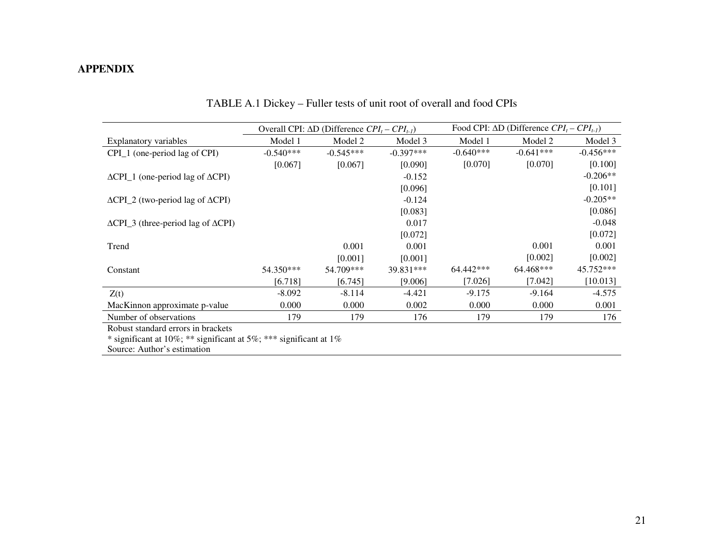### **APPENDIX**

|                                                         |             | Overall CPI: $\Delta D$ (Difference $CPI_t - CPI_{t-1}$ ) |             |             | Food CPI: $\Delta D$ (Difference $CPI_t - CPI_{t-1}$ ) |             |  |  |
|---------------------------------------------------------|-------------|-----------------------------------------------------------|-------------|-------------|--------------------------------------------------------|-------------|--|--|
| Explanatory variables                                   | Model 1     | Model 2                                                   | Model 3     | Model 1     | Model 2                                                | Model 3     |  |  |
| CPI_1 (one-period lag of CPI)                           | $-0.540***$ | $-0.545***$                                               | $-0.397***$ | $-0.640***$ | $-0.641***$                                            | $-0.456***$ |  |  |
|                                                         | [0.067]     | [0.067]                                                   | [0.090]     | [0.070]     | [0.070]                                                | [0.100]     |  |  |
| $\Delta$ CPI_1 (one-period lag of $\Delta$ CPI)         |             |                                                           | $-0.152$    |             |                                                        | $-0.206**$  |  |  |
|                                                         |             |                                                           | [0.096]     |             |                                                        | [0.101]     |  |  |
| $\Delta$ CPI_2 (two-period lag of $\Delta$ CPI)         |             |                                                           | $-0.124$    |             |                                                        | $-0.205**$  |  |  |
|                                                         |             |                                                           | [0.083]     |             |                                                        | [0.086]     |  |  |
| $\triangle$ CPI_3 (three-period lag of $\triangle$ CPI) |             |                                                           | 0.017       |             |                                                        | $-0.048$    |  |  |
|                                                         |             |                                                           | [0.072]     |             |                                                        | [0.072]     |  |  |
| Trend                                                   |             | 0.001                                                     | 0.001       |             | 0.001                                                  | 0.001       |  |  |
|                                                         |             | [0.001]                                                   | [0.001]     |             | [0.002]                                                | [0.002]     |  |  |
| Constant                                                | 54.350***   | 54.709***                                                 | 39.831***   | 64.442***   | 64.468***                                              | 45.752***   |  |  |
|                                                         | [6.718]     | [6.745]                                                   | [9.006]     | [7.026]     | [7.042]                                                | [10.013]    |  |  |
| Z(t)                                                    | $-8.092$    | $-8.114$                                                  | $-4.421$    | $-9.175$    | $-9.164$                                               | $-4.575$    |  |  |
| MacKinnon approximate p-value                           | 0.000       | 0.000                                                     | 0.002       | 0.000       | 0.000                                                  | 0.001       |  |  |
| Number of observations                                  | 179         | 179                                                       | 176         | 179         | 179                                                    | 176         |  |  |
| Robust standard errors in brackets                      |             |                                                           |             |             |                                                        |             |  |  |

TABLE A.1 Dickey – Fuller tests of unit root of overall and food CPIs

Robust standard errors in brackets

\* significant at 10%; \*\* significant at 5%; \*\*\* significant at 1%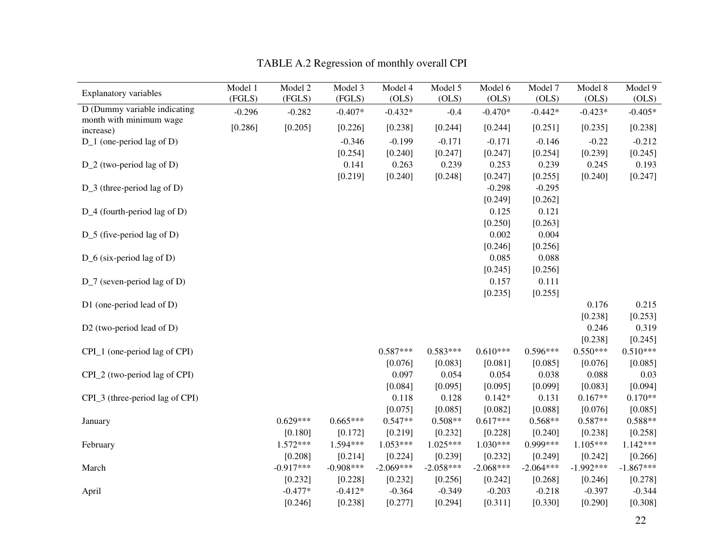| <b>Explanatory variables</b>                            | Model 1  | Model 2     | Model 3     | Model 4     | Model 5     | Model 6     | Model 7     | Model 8     | Model 9     |
|---------------------------------------------------------|----------|-------------|-------------|-------------|-------------|-------------|-------------|-------------|-------------|
|                                                         | (FGLS)   | (FGLS)      | (FGLS)      | (OLS)       | (OLS)       | (OLS)       | (OLS)       | (OLS)       | (OLS)       |
| D (Dummy variable indicating<br>month with minimum wage | $-0.296$ | $-0.282$    | $-0.407*$   | $-0.432*$   | $-0.4$      | $-0.470*$   | $-0.442*$   | $-0.423*$   | $-0.405*$   |
| increase)                                               | [0.286]  | [0.205]     | [0.226]     | [0.238]     | [0.244]     | [0.244]     | [0.251]     | [0.235]     | [0.238]     |
| $D_1$ (one-period lag of D)                             |          |             | $-0.346$    | $-0.199$    | $-0.171$    | $-0.171$    | $-0.146$    | $-0.22$     | $-0.212$    |
|                                                         |          |             | [0.254]     | [0.240]     | [0.247]     | [0.247]     | [0.254]     | [0.239]     | [0.245]     |
| D_2 (two-period lag of D)                               |          |             | 0.141       | 0.263       | 0.239       | 0.253       | 0.239       | 0.245       | 0.193       |
|                                                         |          |             | [0.219]     | [0.240]     | [0.248]     | [0.247]     | [0.255]     | [0.240]     | [0.247]     |
| $D_3$ (three-period lag of D)                           |          |             |             |             |             | $-0.298$    | $-0.295$    |             |             |
|                                                         |          |             |             |             |             | [0.249]     | [0.262]     |             |             |
| D_4 (fourth-period lag of D)                            |          |             |             |             |             | 0.125       | 0.121       |             |             |
|                                                         |          |             |             |             |             | [0.250]     | [0.263]     |             |             |
| $D_5$ (five-period lag of D)                            |          |             |             |             |             | 0.002       | 0.004       |             |             |
|                                                         |          |             |             |             |             | [0.246]     | [0.256]     |             |             |
| $D_6$ (six-period lag of D)                             |          |             |             |             |             | 0.085       | 0.088       |             |             |
|                                                         |          |             |             |             |             | [0.245]     | [0.256]     |             |             |
| $D_7$ (seven-period lag of D)                           |          |             |             |             |             | 0.157       | 0.111       |             |             |
|                                                         |          |             |             |             |             | [0.235]     | [0.255]     |             |             |
| D1 (one-period lead of D)                               |          |             |             |             |             |             |             | 0.176       | 0.215       |
|                                                         |          |             |             |             |             |             |             | [0.238]     | [0.253]     |
| D2 (two-period lead of D)                               |          |             |             |             |             |             |             | 0.246       | 0.319       |
|                                                         |          |             |             |             |             |             |             | [0.238]     | [0.245]     |
| CPI_1 (one-period lag of CPI)                           |          |             |             | $0.587***$  | $0.583***$  | $0.610***$  | $0.596***$  | $0.550***$  | $0.510***$  |
|                                                         |          |             |             | [0.076]     | [0.083]     | [0.081]     | [0.085]     | [0.076]     | [0.085]     |
| CPI_2 (two-period lag of CPI)                           |          |             |             | 0.097       | 0.054       | 0.054       | 0.038       | 0.088       | 0.03        |
|                                                         |          |             |             | [0.084]     | [0.095]     | [0.095]     | [0.099]     | [0.083]     | [0.094]     |
| CPI_3 (three-period lag of CPI)                         |          |             |             | 0.118       | 0.128       | $0.142*$    | 0.131       | $0.167**$   | $0.170**$   |
|                                                         |          |             |             | [0.075]     | [0.085]     | [0.082]     | [0.088]     | [0.076]     | [0.085]     |
| January                                                 |          | $0.629***$  | $0.665***$  | $0.547**$   | $0.508**$   | $0.617***$  | $0.568**$   | $0.587**$   | $0.588**$   |
|                                                         |          | [0.180]     | [0.172]     | [0.219]     | [0.232]     | [0.228]     | [0.240]     | [0.238]     | [0.258]     |
| February                                                |          | $1.572***$  | $1.594***$  | $1.053***$  | $1.025***$  | $1.030***$  | 0.999***    | $1.105***$  | $1.142***$  |
|                                                         |          | [0.208]     | [0.214]     | [0.224]     | [0.239]     | [0.232]     | [0.249]     | [0.242]     | [0.266]     |
| March                                                   |          | $-0.917***$ | $-0.908***$ | $-2.069***$ | $-2.058***$ | $-2.068***$ | $-2.064***$ | $-1.992***$ | $-1.867***$ |
|                                                         |          | [0.232]     | [0.228]     | [0.232]     | [0.256]     | [0.242]     | [0.268]     | [0.246]     | [0.278]     |
| April                                                   |          | $-0.477*$   | $-0.412*$   | $-0.364$    | $-0.349$    | $-0.203$    | $-0.218$    | $-0.397$    | $-0.344$    |
|                                                         |          | [0.246]     | [0.238]     | [0.277]     | [0.294]     | [0.311]     | [0.330]     | [0.290]     | [0.308]     |

TABLE A.2 Regression of monthly overall CPI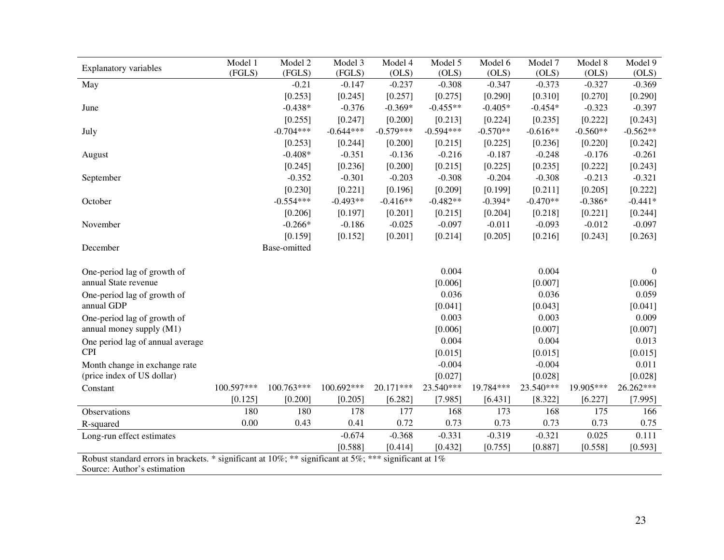| <b>Explanatory variables</b>                                                                          | Model 1    | Model 2      | Model 3     | Model 4     | Model 5     | Model 6    | Model 7    | Model 8    | Model 9    |
|-------------------------------------------------------------------------------------------------------|------------|--------------|-------------|-------------|-------------|------------|------------|------------|------------|
|                                                                                                       | (FGLS)     | (FGLS)       | (FGLS)      | (OLS)       | (OLS)       | (OLS)      | (OLS)      | (OLS)      | (OLS)      |
| May                                                                                                   |            | $-0.21$      | $-0.147$    | $-0.237$    | $-0.308$    | $-0.347$   | $-0.373$   | $-0.327$   | $-0.369$   |
|                                                                                                       |            | [0.253]      | [0.245]     | [0.257]     | [0.275]     | [0.290]    | [0.310]    | [0.270]    | [0.290]    |
| June                                                                                                  |            | $-0.438*$    | $-0.376$    | $-0.369*$   | $-0.455**$  | $-0.405*$  | $-0.454*$  | $-0.323$   | $-0.397$   |
|                                                                                                       |            | [0.255]      | [0.247]     | [0.200]     | [0.213]     | [0.224]    | [0.235]    | [0.222]    | [0.243]    |
| July                                                                                                  |            | $-0.704***$  | $-0.644***$ | $-0.579***$ | $-0.594***$ | $-0.570**$ | $-0.616**$ | $-0.560**$ | $-0.562**$ |
|                                                                                                       |            | [0.253]      | [0.244]     | [0.200]     | [0.215]     | [0.225]    | [0.236]    | [0.220]    | [0.242]    |
| August                                                                                                |            | $-0.408*$    | $-0.351$    | $-0.136$    | $-0.216$    | $-0.187$   | $-0.248$   | $-0.176$   | $-0.261$   |
|                                                                                                       |            | [0.245]      | [0.236]     | [0.200]     | [0.215]     | [0.225]    | [0.235]    | [0.222]    | [0.243]    |
| September                                                                                             |            | $-0.352$     | $-0.301$    | $-0.203$    | $-0.308$    | $-0.204$   | $-0.308$   | $-0.213$   | $-0.321$   |
|                                                                                                       |            | [0.230]      | [0.221]     | [0.196]     | [0.209]     | [0.199]    | [0.211]    | [0.205]    | [0.222]    |
| October                                                                                               |            | $-0.554***$  | $-0.493**$  | $-0.416**$  | $-0.482**$  | $-0.394*$  | $-0.470**$ | $-0.386*$  | $-0.441*$  |
|                                                                                                       |            | [0.206]      | [0.197]     | [0.201]     | [0.215]     | [0.204]    | [0.218]    | [0.221]    | [0.244]    |
| November                                                                                              |            | $-0.266*$    | $-0.186$    | $-0.025$    | $-0.097$    | $-0.011$   | $-0.093$   | $-0.012$   | $-0.097$   |
|                                                                                                       |            | [0.159]      | [0.152]     | [0.201]     | [0.214]     | [0.205]    | [0.216]    | [0.243]    | [0.263]    |
| December                                                                                              |            | Base-omitted |             |             |             |            |            |            |            |
|                                                                                                       |            |              |             |             |             |            |            |            |            |
| One-period lag of growth of                                                                           |            |              |             |             | 0.004       |            | 0.004      |            | $\Omega$   |
| annual State revenue                                                                                  |            |              |             |             | [0.006]     |            | [0.007]    |            | [0.006]    |
| One-period lag of growth of                                                                           |            |              |             |             | 0.036       |            | 0.036      |            | 0.059      |
| annual GDP                                                                                            |            |              |             |             | [0.041]     |            | [0.043]    |            | [0.041]    |
| One-period lag of growth of                                                                           |            |              |             |             | 0.003       |            | 0.003      |            | 0.009      |
| annual money supply (M1)                                                                              |            |              |             |             | [0.006]     |            | [0.007]    |            | [0.007]    |
| One period lag of annual average                                                                      |            |              |             |             | 0.004       |            | 0.004      |            | 0.013      |
| <b>CPI</b>                                                                                            |            |              |             |             | [0.015]     |            | [0.015]    |            | [0.015]    |
| Month change in exchange rate                                                                         |            |              |             |             | $-0.004$    |            | $-0.004$   |            | 0.011      |
| (price index of US dollar)                                                                            |            |              |             |             | [0.027]     |            | [0.028]    |            | [0.028]    |
| Constant                                                                                              | 100.597*** | 100.763***   | 100.692***  | 20.171***   | 23.540***   | 19.784***  | 23.540***  | 19.905***  | 26.262***  |
|                                                                                                       | [0.125]    | [0.200]      | [0.205]     | [6.282]     | [7.985]     | [6.431]    | [8.322]    | [6.227]    | [7.995]    |
| Observations                                                                                          | 180        | 180          | 178         | 177         | 168         | 173        | 168        | 175        | 166        |
| R-squared                                                                                             | 0.00       | 0.43         | 0.41        | 0.72        | 0.73        | 0.73       | 0.73       | 0.73       | 0.75       |
| Long-run effect estimates                                                                             |            |              | $-0.674$    | $-0.368$    | $-0.331$    | $-0.319$   | $-0.321$   | 0.025      | 0.111      |
|                                                                                                       |            |              | [0.588]     | [0.414]     | [0.432]     | [0.755]    | [0.887]    | [0.558]    | [0.593]    |
| Robust standard errors in brackets. * significant at 10%; ** significant at 5%; *** significant at 1% |            |              |             |             |             |            |            |            |            |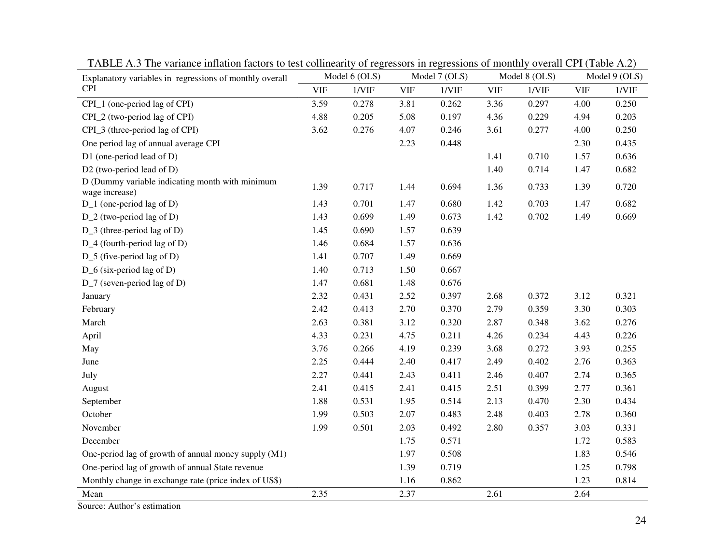| Explanatory variables in regressions of monthly overall           |            | Model 6 (OLS) | Model 7 (OLS) |       | Model 8 (OLS) |       | Model 9 (OLS) |       |
|-------------------------------------------------------------------|------------|---------------|---------------|-------|---------------|-------|---------------|-------|
| <b>CPI</b>                                                        | <b>VIF</b> | 1/VIF         | <b>VIF</b>    | 1/VIF | <b>VIF</b>    | 1/VIF | <b>VIF</b>    | 1/VIF |
| CPI_1 (one-period lag of CPI)                                     | 3.59       | 0.278         | 3.81          | 0.262 | 3.36          | 0.297 | 4.00          | 0.250 |
| CPI_2 (two-period lag of CPI)                                     | 4.88       | 0.205         | 5.08          | 0.197 | 4.36          | 0.229 | 4.94          | 0.203 |
| CPI_3 (three-period lag of CPI)                                   | 3.62       | 0.276         | 4.07          | 0.246 | 3.61          | 0.277 | 4.00          | 0.250 |
| One period lag of annual average CPI                              |            |               | 2.23          | 0.448 |               |       | 2.30          | 0.435 |
| D1 (one-period lead of D)                                         |            |               |               |       | 1.41          | 0.710 | 1.57          | 0.636 |
| D2 (two-period lead of D)                                         |            |               |               |       | 1.40          | 0.714 | 1.47          | 0.682 |
| D (Dummy variable indicating month with minimum<br>wage increase) | 1.39       | 0.717         | 1.44          | 0.694 | 1.36          | 0.733 | 1.39          | 0.720 |
| D_1 (one-period lag of D)                                         | 1.43       | 0.701         | 1.47          | 0.680 | 1.42          | 0.703 | 1.47          | 0.682 |
| D_2 (two-period lag of D)                                         | 1.43       | 0.699         | 1.49          | 0.673 | 1.42          | 0.702 | 1.49          | 0.669 |
| D_3 (three-period lag of D)                                       | 1.45       | 0.690         | 1.57          | 0.639 |               |       |               |       |
| D_4 (fourth-period lag of D)                                      | 1.46       | 0.684         | 1.57          | 0.636 |               |       |               |       |
| D_5 (five-period lag of D)                                        | 1.41       | 0.707         | 1.49          | 0.669 |               |       |               |       |
| D_6 (six-period lag of D)                                         | 1.40       | 0.713         | 1.50          | 0.667 |               |       |               |       |
| $D_7$ (seven-period lag of D)                                     | 1.47       | 0.681         | 1.48          | 0.676 |               |       |               |       |
| January                                                           | 2.32       | 0.431         | 2.52          | 0.397 | 2.68          | 0.372 | 3.12          | 0.321 |
| February                                                          | 2.42       | 0.413         | 2.70          | 0.370 | 2.79          | 0.359 | 3.30          | 0.303 |
| March                                                             | 2.63       | 0.381         | 3.12          | 0.320 | 2.87          | 0.348 | 3.62          | 0.276 |
| April                                                             | 4.33       | 0.231         | 4.75          | 0.211 | 4.26          | 0.234 | 4.43          | 0.226 |
| May                                                               | 3.76       | 0.266         | 4.19          | 0.239 | 3.68          | 0.272 | 3.93          | 0.255 |
| June                                                              | 2.25       | 0.444         | 2.40          | 0.417 | 2.49          | 0.402 | 2.76          | 0.363 |
| July                                                              | 2.27       | 0.441         | 2.43          | 0.411 | 2.46          | 0.407 | 2.74          | 0.365 |
| August                                                            | 2.41       | 0.415         | 2.41          | 0.415 | 2.51          | 0.399 | 2.77          | 0.361 |
| September                                                         | 1.88       | 0.531         | 1.95          | 0.514 | 2.13          | 0.470 | 2.30          | 0.434 |
| October                                                           | 1.99       | 0.503         | 2.07          | 0.483 | 2.48          | 0.403 | 2.78          | 0.360 |
| November                                                          | 1.99       | 0.501         | 2.03          | 0.492 | 2.80          | 0.357 | 3.03          | 0.331 |
| December                                                          |            |               | 1.75          | 0.571 |               |       | 1.72          | 0.583 |
| One-period lag of growth of annual money supply (M1)              |            |               | 1.97          | 0.508 |               |       | 1.83          | 0.546 |
| One-period lag of growth of annual State revenue                  |            |               | 1.39          | 0.719 |               |       | 1.25          | 0.798 |
| Monthly change in exchange rate (price index of US\$)             |            |               | 1.16          | 0.862 |               |       | 1.23          | 0.814 |
| Mean                                                              | 2.35       |               | 2.37          |       | 2.61          |       | 2.64          |       |

TABLE A.3 The variance inflation factors to test collinearity of regressors in regressions of monthly overall CPI (Table A.2)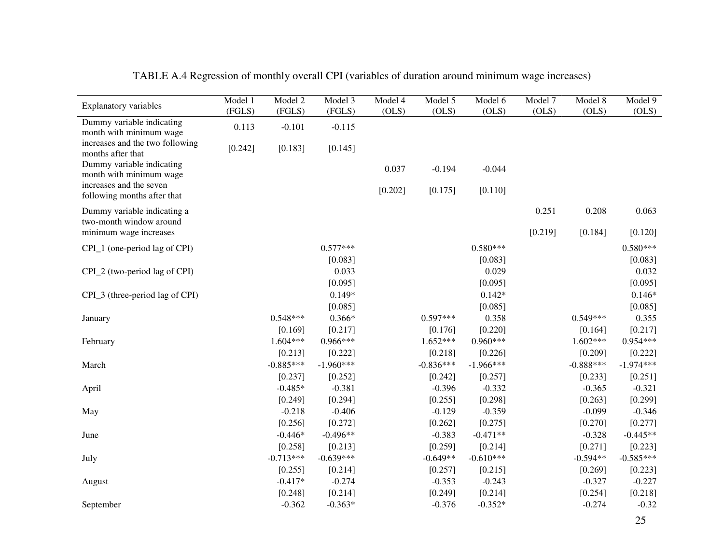| <b>Explanatory variables</b>                           | Model 1 | Model 2     | Model 3     | Model 4 | Model 5     | Model 6     | Model 7 | Model 8     | Model 9     |
|--------------------------------------------------------|---------|-------------|-------------|---------|-------------|-------------|---------|-------------|-------------|
|                                                        | (FGLS)  | (FGLS)      | (FGLS)      | (OLS)   | (OLS)       | (OLS)       | (OLS)   | (OLS)       | OLS)        |
| Dummy variable indicating<br>month with minimum wage   | 0.113   | $-0.101$    | $-0.115$    |         |             |             |         |             |             |
| increases and the two following<br>months after that   | [0.242] | [0.183]     | [0.145]     |         |             |             |         |             |             |
| Dummy variable indicating<br>month with minimum wage   |         |             |             | 0.037   | $-0.194$    | $-0.044$    |         |             |             |
| increases and the seven<br>following months after that |         |             |             | [0.202] | [0.175]     | [0.110]     |         |             |             |
| Dummy variable indicating a<br>two-month window around |         |             |             |         |             |             | 0.251   | 0.208       | 0.063       |
| minimum wage increases                                 |         |             |             |         |             |             | [0.219] | [0.184]     | [0.120]     |
| CPI_1 (one-period lag of CPI)                          |         |             | $0.577***$  |         |             | $0.580***$  |         |             | $0.580***$  |
|                                                        |         |             | [0.083]     |         |             | [0.083]     |         |             | [0.083]     |
| CPI_2 (two-period lag of CPI)                          |         |             | 0.033       |         |             | 0.029       |         |             | 0.032       |
|                                                        |         |             | [0.095]     |         |             | [0.095]     |         |             | [0.095]     |
| CPI_3 (three-period lag of CPI)                        |         |             | $0.149*$    |         |             | $0.142*$    |         |             | $0.146*$    |
|                                                        |         |             | [0.085]     |         |             | [0.085]     |         |             | [0.085]     |
| January                                                |         | $0.548***$  | $0.366*$    |         | $0.597***$  | 0.358       |         | $0.549***$  | 0.355       |
|                                                        |         | [0.169]     | [0.217]     |         | [0.176]     | [0.220]     |         | [0.164]     | [0.217]     |
| February                                               |         | $1.604***$  | $0.966***$  |         | $1.652***$  | $0.960***$  |         | $1.602***$  | $0.954***$  |
|                                                        |         | [0.213]     | [0.222]     |         | [0.218]     | [0.226]     |         | [0.209]     | [0.222]     |
| March                                                  |         | $-0.885***$ | $-1.960***$ |         | $-0.836***$ | $-1.966***$ |         | $-0.888***$ | $-1.974***$ |
|                                                        |         | [0.237]     | [0.252]     |         | [0.242]     | [0.257]     |         | [0.233]     | [0.251]     |
| April                                                  |         | $-0.485*$   | $-0.381$    |         | $-0.396$    | $-0.332$    |         | $-0.365$    | $-0.321$    |
|                                                        |         | [0.249]     | [0.294]     |         | [0.255]     | [0.298]     |         | [0.263]     | [0.299]     |
| May                                                    |         | $-0.218$    | $-0.406$    |         | $-0.129$    | $-0.359$    |         | $-0.099$    | $-0.346$    |
|                                                        |         | [0.256]     | [0.272]     |         | [0.262]     | [0.275]     |         | [0.270]     | [0.277]     |
| June                                                   |         | $-0.446*$   | $-0.496**$  |         | $-0.383$    | $-0.471**$  |         | $-0.328$    | $-0.445**$  |
|                                                        |         | [0.258]     | [0.213]     |         | [0.259]     | [0.214]     |         | [0.271]     | [0.223]     |
| July                                                   |         | $-0.713***$ | $-0.639***$ |         | $-0.649**$  | $-0.610***$ |         | $-0.594**$  | $-0.585***$ |
|                                                        |         | [0.255]     | [0.214]     |         | [0.257]     | [0.215]     |         | [0.269]     | [0.223]     |
| August                                                 |         | $-0.417*$   | $-0.274$    |         | $-0.353$    | $-0.243$    |         | $-0.327$    | $-0.227$    |
|                                                        |         | [0.248]     | [0.214]     |         | [0.249]     | [0.214]     |         | [0.254]     | [0.218]     |
| September                                              |         | $-0.362$    | $-0.363*$   |         | $-0.376$    | $-0.352*$   |         | $-0.274$    | $-0.32$     |

## TABLE A.4 Regression of monthly overall CPI (variables of duration around minimum wage increases)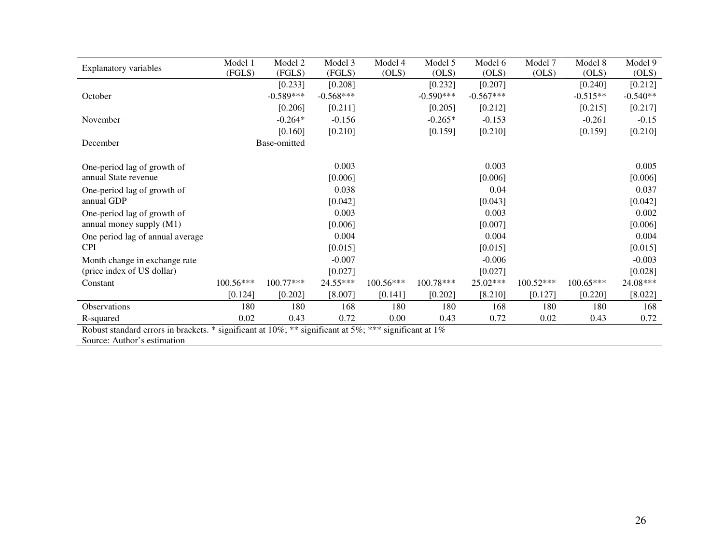| <b>Explanatory variables</b>                                                                          | Model 1   | Model 2      | Model 3     | Model 4     | Model 5     | Model 6     | Model 7     | Model 8     | Model 9    |
|-------------------------------------------------------------------------------------------------------|-----------|--------------|-------------|-------------|-------------|-------------|-------------|-------------|------------|
|                                                                                                       | (FGLS)    | (FGLS)       | (FGLS)      | (OLS)       | (OLS)       | (OLS)       | (OLS)       | (OLS)       | (OLS)      |
|                                                                                                       |           | [0.233]      | [0.208]     |             | [0.232]     | [0.207]     |             | [0.240]     | [0.212]    |
| October                                                                                               |           | $-0.589***$  | $-0.568***$ |             | $-0.590***$ | $-0.567***$ |             | $-0.515**$  | $-0.540**$ |
|                                                                                                       |           | [0.206]      | [0.211]     |             | [0.205]     | [0.212]     |             | [0.215]     | [0.217]    |
| November                                                                                              |           | $-0.264*$    | $-0.156$    |             | $-0.265*$   | $-0.153$    |             | $-0.261$    | $-0.15$    |
|                                                                                                       |           | [0.160]      | [0.210]     |             | [0.159]     | [0.210]     |             | [0.159]     | [0.210]    |
| December                                                                                              |           | Base-omitted |             |             |             |             |             |             |            |
|                                                                                                       |           |              |             |             |             |             |             |             |            |
| One-period lag of growth of                                                                           |           |              | 0.003       |             |             | 0.003       |             |             | 0.005      |
| annual State revenue                                                                                  |           |              | [0.006]     |             |             | [0.006]     |             |             | [0.006]    |
| One-period lag of growth of                                                                           |           |              | 0.038       |             |             | 0.04        |             |             | 0.037      |
| annual GDP                                                                                            |           |              | [0.042]     |             |             | [0.043]     |             |             | [0.042]    |
| One-period lag of growth of                                                                           |           |              | 0.003       |             |             | 0.003       |             |             | 0.002      |
| annual money supply (M1)                                                                              |           |              | [0.006]     |             |             | [0.007]     |             |             | [0.006]    |
| One period lag of annual average                                                                      |           |              | 0.004       |             |             | 0.004       |             |             | 0.004      |
| <b>CPI</b>                                                                                            |           |              | [0.015]     |             |             | [0.015]     |             |             | [0.015]    |
| Month change in exchange rate                                                                         |           |              | $-0.007$    |             |             | $-0.006$    |             |             | $-0.003$   |
| (price index of US dollar)                                                                            |           |              | [0.027]     |             |             | [0.027]     |             |             | [0.028]    |
| Constant                                                                                              | 100.56*** | $100.77***$  | 24.55***    | $100.56***$ | 100.78***   | 25.02***    | $100.52***$ | $100.65***$ | 24.08***   |
|                                                                                                       | [0.124]   | [0.202]      | [8.007]     | [0.141]     | [0.202]     | [8.210]     | [0.127]     | [0.220]     | [8.022]    |
| Observations                                                                                          | 180       | 180          | 168         | 180         | 180         | 168         | 180         | 180         | 168        |
| R-squared                                                                                             | 0.02      | 0.43         | 0.72        | 0.00        | 0.43        | 0.72        | 0.02        | 0.43        | 0.72       |
| Robust standard errors in brackets. * significant at 10%; ** significant at 5%; *** significant at 1% |           |              |             |             |             |             |             |             |            |
|                                                                                                       |           |              |             |             |             |             |             |             |            |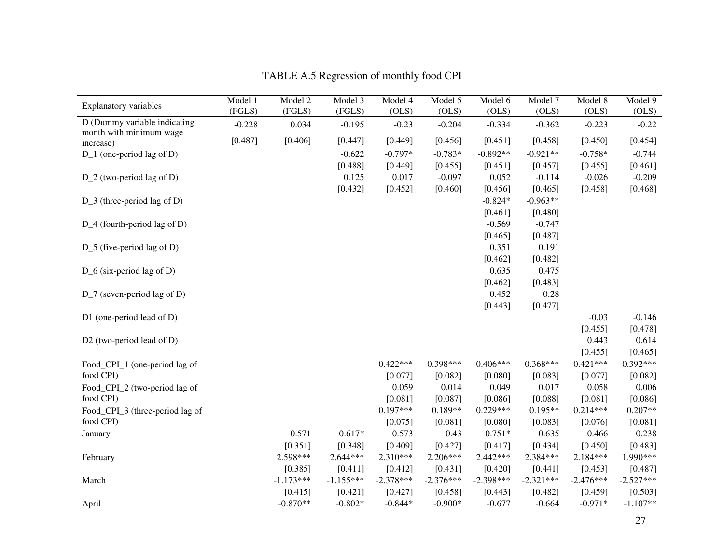|                                      | Model 1  | Model 2     | Model 3     | Model 4     | Model 5     | Model 6     | Model 7     | Model 8     | Model 9     |
|--------------------------------------|----------|-------------|-------------|-------------|-------------|-------------|-------------|-------------|-------------|
| <b>Explanatory variables</b>         | (FGLS)   | (FGLS)      | (FGLS)      | (OLS)       | (OLS)       | (OLS)       | (OLS)       | (OLS)       | (OLS)       |
| D (Dummy variable indicating         | $-0.228$ | 0.034       | $-0.195$    | $-0.23$     | $-0.204$    | $-0.334$    | $-0.362$    | $-0.223$    | $-0.22$     |
| month with minimum wage<br>increase) | [0.487]  | [0.406]     | [0.447]     | [0.449]     | [0.456]     | [0.451]     | [0.458]     | [0.450]     | [0.454]     |
| D_1 (one-period lag of D)            |          |             | $-0.622$    | $-0.797*$   | $-0.783*$   | $-0.892**$  | $-0.921**$  | $-0.758*$   | $-0.744$    |
|                                      |          |             | [0.488]     | [0.449]     | [0.455]     | [0.451]     | [0.457]     | [0.455]     | [0.461]     |
| D_2 (two-period lag of D)            |          |             | 0.125       | 0.017       | $-0.097$    | 0.052       | $-0.114$    | $-0.026$    | $-0.209$    |
|                                      |          |             | [0.432]     | [0.452]     | [0.460]     | [0.456]     | [0.465]     | [0.458]     | [0.468]     |
| $D_3$ (three-period lag of D)        |          |             |             |             |             | $-0.824*$   | $-0.963**$  |             |             |
|                                      |          |             |             |             |             | [0.461]     | [0.480]     |             |             |
| D_4 (fourth-period lag of D)         |          |             |             |             |             | $-0.569$    | $-0.747$    |             |             |
|                                      |          |             |             |             |             | [0.465]     | [0.487]     |             |             |
| $D_5$ (five-period lag of D)         |          |             |             |             |             | 0.351       | 0.191       |             |             |
|                                      |          |             |             |             |             | [0.462]     | [0.482]     |             |             |
| $D_6$ (six-period lag of D)          |          |             |             |             |             | 0.635       | 0.475       |             |             |
|                                      |          |             |             |             |             | [0.462]     | [0.483]     |             |             |
| $D_7$ (seven-period lag of D)        |          |             |             |             |             | 0.452       | 0.28        |             |             |
|                                      |          |             |             |             |             | [0.443]     | [0.477]     |             |             |
| D1 (one-period lead of D)            |          |             |             |             |             |             |             | $-0.03$     | $-0.146$    |
|                                      |          |             |             |             |             |             |             | [0.455]     | [0.478]     |
| D2 (two-period lead of D)            |          |             |             |             |             |             |             | 0.443       | 0.614       |
|                                      |          |             |             |             |             |             |             | [0.455]     | [0.465]     |
| Food_CPI_1 (one-period lag of        |          |             |             | $0.422***$  | $0.398***$  | $0.406***$  | $0.368***$  | $0.421***$  | $0.392***$  |
| food CPI)                            |          |             |             | [0.077]     | [0.082]     | [0.080]     | [0.083]     | [0.077]     | [0.082]     |
| Food_CPI_2 (two-period lag of        |          |             |             | 0.059       | 0.014       | 0.049       | 0.017       | 0.058       | 0.006       |
| food CPI)                            |          |             |             | [0.081]     | [0.087]     | [0.086]     | [0.088]     | [0.081]     | [0.086]     |
| Food_CPI_3 (three-period lag of      |          |             |             | $0.197***$  | $0.189**$   | $0.229***$  | $0.195**$   | $0.214***$  | $0.207**$   |
| food CPI)                            |          |             |             | [0.075]     | [0.081]     | [0.080]     | [0.083]     | [0.076]     | [0.081]     |
| January                              |          | 0.571       | $0.617*$    | 0.573       | 0.43        | $0.751*$    | 0.635       | 0.466       | 0.238       |
|                                      |          | [0.351]     | [0.348]     | [0.409]     | [0.427]     | [0.417]     | [0.434]     | [0.450]     | [0.483]     |
| February                             |          | 2.598***    | $2.644***$  | 2.310***    | 2.206***    | $2.442***$  | 2.384***    | $2.184***$  | 1.990***    |
|                                      |          | [0.385]     | [0.411]     | [0.412]     | [0.431]     | [0.420]     | [0.441]     | [0.453]     | [0.487]     |
| March                                |          | $-1.173***$ | $-1.155***$ | $-2.378***$ | $-2.376***$ | $-2.398***$ | $-2.321***$ | $-2.476***$ | $-2.527***$ |
|                                      |          | [0.415]     | [0.421]     | [0.427]     | [0.458]     | [0.443]     | [0.482]     | [0.459]     | [0.503]     |
| April                                |          | $-0.870**$  | $-0.802*$   | $-0.844*$   | $-0.900*$   | $-0.677$    | $-0.664$    | $-0.971*$   | $-1.107**$  |

TABLE A.5 Regression of monthly food CPI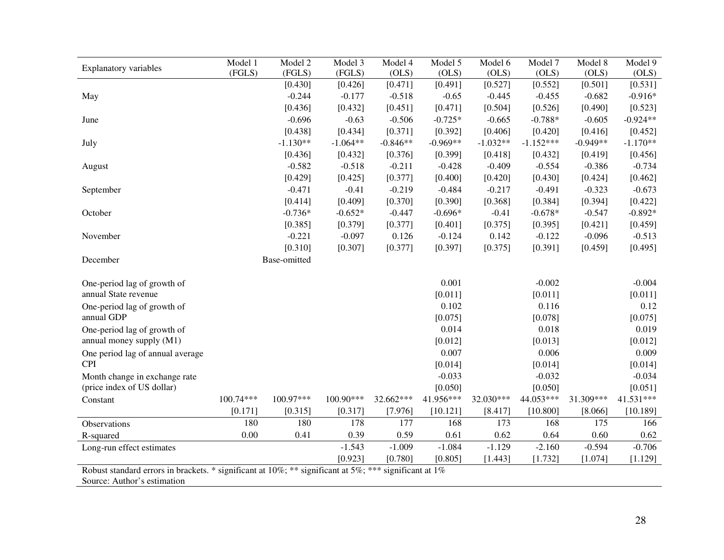|                                                                                                       | Model 1   | Model 2      | Model 3    | Model 4    | Model 5    | Model 6    | Model 7     | Model 8    | Model 9    |
|-------------------------------------------------------------------------------------------------------|-----------|--------------|------------|------------|------------|------------|-------------|------------|------------|
| <b>Explanatory variables</b>                                                                          | (FGLS)    | (FGLS)       | (FGLS)     | (OLS)      | (OLS)      | (OLS)      | (OLS)       | (OLS)      | (OLS)      |
|                                                                                                       |           | [0.430]      | [0.426]    | [0.471]    | [0.491]    | [0.527]    | [0.552]     | [0.501]    | [0.531]    |
| May                                                                                                   |           | $-0.244$     | $-0.177$   | $-0.518$   | $-0.65$    | $-0.445$   | $-0.455$    | $-0.682$   | $-0.916*$  |
|                                                                                                       |           | [0.436]      | [0.432]    | [0.451]    | [0.471]    | [0.504]    | [0.526]     | [0.490]    | [0.523]    |
| June                                                                                                  |           | $-0.696$     | $-0.63$    | $-0.506$   | $-0.725*$  | $-0.665$   | $-0.788*$   | $-0.605$   | $-0.924**$ |
|                                                                                                       |           | [0.438]      | [0.434]    | [0.371]    | [0.392]    | [0.406]    | [0.420]     | [0.416]    | [0.452]    |
| July                                                                                                  |           | $-1.130**$   | $-1.064**$ | $-0.846**$ | $-0.969**$ | $-1.032**$ | $-1.152***$ | $-0.949**$ | $-1.170**$ |
|                                                                                                       |           | [0.436]      | [0.432]    | [0.376]    | [0.399]    | [0.418]    | [0.432]     | [0.419]    | [0.456]    |
| August                                                                                                |           | $-0.582$     | $-0.518$   | $-0.211$   | $-0.428$   | $-0.409$   | $-0.554$    | $-0.386$   | $-0.734$   |
|                                                                                                       |           | [0.429]      | [0.425]    | [0.377]    | [0.400]    | [0.420]    | [0.430]     | [0.424]    | [0.462]    |
| September                                                                                             |           | $-0.471$     | $-0.41$    | $-0.219$   | $-0.484$   | $-0.217$   | $-0.491$    | $-0.323$   | $-0.673$   |
|                                                                                                       |           | [0.414]      | [0.409]    | [0.370]    | [0.390]    | [0.368]    | [0.384]     | [0.394]    | [0.422]    |
| October                                                                                               |           | $-0.736*$    | $-0.652*$  | $-0.447$   | $-0.696*$  | $-0.41$    | $-0.678*$   | $-0.547$   | $-0.892*$  |
|                                                                                                       |           | [0.385]      | [0.379]    | [0.377]    | [0.401]    | [0.375]    | [0.395]     | [0.421]    | [0.459]    |
| November                                                                                              |           | $-0.221$     | $-0.097$   | 0.126      | $-0.124$   | 0.142      | $-0.122$    | $-0.096$   | $-0.513$   |
|                                                                                                       |           | [0.310]      | [0.307]    | [0.377]    | [0.397]    | [0.375]    | [0.391]     | [0.459]    | [0.495]    |
| December                                                                                              |           | Base-omitted |            |            |            |            |             |            |            |
|                                                                                                       |           |              |            |            |            |            |             |            |            |
| One-period lag of growth of                                                                           |           |              |            |            | 0.001      |            | $-0.002$    |            | $-0.004$   |
| annual State revenue                                                                                  |           |              |            |            | [0.011]    |            | [0.011]     |            | [0.011]    |
| One-period lag of growth of                                                                           |           |              |            |            | 0.102      |            | 0.116       |            | 0.12       |
| annual GDP                                                                                            |           |              |            |            | [0.075]    |            | [0.078]     |            | [0.075]    |
| One-period lag of growth of                                                                           |           |              |            |            | 0.014      |            | 0.018       |            | 0.019      |
| annual money supply (M1)                                                                              |           |              |            |            | [0.012]    |            | [0.013]     |            | [0.012]    |
| One period lag of annual average                                                                      |           |              |            |            | 0.007      |            | 0.006       |            | 0.009      |
| <b>CPI</b>                                                                                            |           |              |            |            | [0.014]    |            | [0.014]     |            | [0.014]    |
| Month change in exchange rate                                                                         |           |              |            |            | $-0.033$   |            | $-0.032$    |            | $-0.034$   |
| (price index of US dollar)                                                                            |           |              |            |            | [0.050]    |            | [0.050]     |            | [0.051]    |
| Constant                                                                                              | 100.74*** | 100.97***    | 100.90***  | 32.662***  | 41.956***  | 32.030***  | 44.053***   | 31.309***  | 41.531***  |
|                                                                                                       | [0.171]   | [0.315]      | [0.317]    | [7.976]    | [10.121]   | [8.417]    | [10.800]    | [8.066]    | [10.189]   |
| Observations                                                                                          | 180       | 180          | 178        | 177        | 168        | 173        | 168         | 175        | 166        |
| R-squared                                                                                             | 0.00      | 0.41         | 0.39       | 0.59       | 0.61       | 0.62       | 0.64        | 0.60       | 0.62       |
| Long-run effect estimates                                                                             |           |              | $-1.543$   | $-1.009$   | $-1.084$   | $-1.129$   | $-2.160$    | $-0.594$   | $-0.706$   |
|                                                                                                       |           |              | [0.923]    | [0.780]    | [0.805]    | [1.443]    | [1.732]     | [1.074]    | [1.129]    |
| Robust standard errors in brackets. * significant at 10%; ** significant at 5%; *** significant at 1% |           |              |            |            |            |            |             |            |            |
| Source: Author's estimation                                                                           |           |              |            |            |            |            |             |            |            |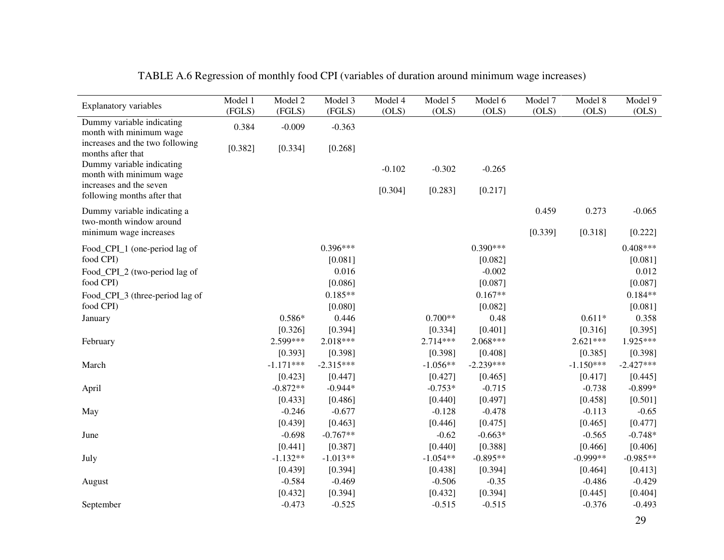| <b>Explanatory variables</b>                           | Model 1 | Model 2     | Model 3     | Model 4  | Model 5    | Model 6     | Model 7 | Model 8     | Model 9     |
|--------------------------------------------------------|---------|-------------|-------------|----------|------------|-------------|---------|-------------|-------------|
|                                                        | (FGLS)  | (FGLS)      | (FGLS)      | (OLS)    | (OLS)      | (OLS)       | (OLS)   | (OLS)       | OLS)        |
| Dummy variable indicating<br>month with minimum wage   | 0.384   | $-0.009$    | $-0.363$    |          |            |             |         |             |             |
| increases and the two following<br>months after that   | [0.382] | [0.334]     | [0.268]     |          |            |             |         |             |             |
| Dummy variable indicating<br>month with minimum wage   |         |             |             | $-0.102$ | $-0.302$   | $-0.265$    |         |             |             |
| increases and the seven<br>following months after that |         |             |             | [0.304]  | [0.283]    | [0.217]     |         |             |             |
| Dummy variable indicating a<br>two-month window around |         |             |             |          |            |             | 0.459   | 0.273       | $-0.065$    |
| minimum wage increases                                 |         |             |             |          |            |             | [0.339] | [0.318]     | [0.222]     |
| Food_CPI_1 (one-period lag of                          |         |             | $0.396***$  |          |            | $0.390***$  |         |             | $0.408***$  |
| food CPI)                                              |         |             | [0.081]     |          |            | [0.082]     |         |             | [0.081]     |
| Food_CPI_2 (two-period lag of                          |         |             | 0.016       |          |            | $-0.002$    |         |             | 0.012       |
| food CPI)                                              |         |             | [0.086]     |          |            | [0.087]     |         |             | [0.087]     |
| Food_CPI_3 (three-period lag of                        |         |             | $0.185**$   |          |            | $0.167**$   |         |             | $0.184**$   |
| food CPI)                                              |         |             | [0.080]     |          |            | [0.082]     |         |             | [0.081]     |
| January                                                |         | $0.586*$    | 0.446       |          | $0.700**$  | 0.48        |         | $0.611*$    | 0.358       |
|                                                        |         | [0.326]     | [0.394]     |          | [0.334]    | [0.401]     |         | [0.316]     | [0.395]     |
| February                                               |         | 2.599***    | $2.018***$  |          | $2.714***$ | 2.068***    |         | $2.621***$  | 1.925***    |
|                                                        |         | [0.393]     | [0.398]     |          | [0.398]    | [0.408]     |         | [0.385]     | [0.398]     |
| March                                                  |         | $-1.171***$ | $-2.315***$ |          | $-1.056**$ | $-2.239***$ |         | $-1.150***$ | $-2.427***$ |
|                                                        |         | [0.423]     | [0.447]     |          | [0.427]    | [0.465]     |         | [0.417]     | [0.445]     |
| April                                                  |         | $-0.872**$  | $-0.944*$   |          | $-0.753*$  | $-0.715$    |         | $-0.738$    | $-0.899*$   |
|                                                        |         | [0.433]     | [0.486]     |          | [0.440]    | [0.497]     |         | [0.458]     | [0.501]     |
| May                                                    |         | $-0.246$    | $-0.677$    |          | $-0.128$   | $-0.478$    |         | $-0.113$    | $-0.65$     |
|                                                        |         | [0.439]     | [0.463]     |          | [0.446]    | [0.475]     |         | [0.465]     | [0.477]     |
| June                                                   |         | $-0.698$    | $-0.767**$  |          | $-0.62$    | $-0.663*$   |         | $-0.565$    | $-0.748*$   |
|                                                        |         | [0.441]     | [0.387]     |          | [0.440]    | [0.388]     |         | [0.466]     | [0.406]     |
| July                                                   |         | $-1.132**$  | $-1.013**$  |          | $-1.054**$ | $-0.895**$  |         | $-0.999**$  | $-0.985**$  |
|                                                        |         | [0.439]     | [0.394]     |          | [0.438]    | [0.394]     |         | [0.464]     | [0.413]     |
| August                                                 |         | $-0.584$    | $-0.469$    |          | $-0.506$   | $-0.35$     |         | $-0.486$    | $-0.429$    |
|                                                        |         | [0.432]     | [0.394]     |          | [0.432]    | [0.394]     |         | [0.445]     | [0.404]     |
| September                                              |         | $-0.473$    | $-0.525$    |          | $-0.515$   | $-0.515$    |         | $-0.376$    | $-0.493$    |

| TABLE A.6 Regression of monthly food CPI (variables of duration around minimum wage increases) |  |  |  |
|------------------------------------------------------------------------------------------------|--|--|--|
|                                                                                                |  |  |  |